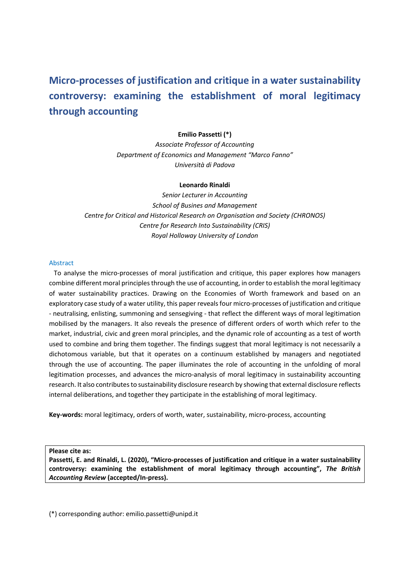# **Micro-processes of justification and critique in a water sustainability controversy: examining the establishment of moral legitimacy through accounting**

#### **Emilio Passetti (\*)**

*Associate Professor of Accounting Department of Economics and Management "Marco Fanno" Università di Padova*

#### **Leonardo Rinaldi**

*Senior Lecturer in Accounting School of Busines and Management Centre for Critical and Historical Research on Organisation and Society (CHRONOS) Centre for Research Into Sustainability (CRIS) Royal Holloway University of London*

#### Abstract

To analyse the micro-processes of moral justification and critique, this paper explores how managers combine different moral principles through the use of accounting, in order to establish the moral legitimacy of water sustainability practices. Drawing on the Economies of Worth framework and based on an exploratory case study of a water utility, this paper reveals four micro-processes of justification and critique - neutralising, enlisting, summoning and sensegiving - that reflect the different ways of moral legitimation mobilised by the managers. It also reveals the presence of different orders of worth which refer to the market, industrial, civic and green moral principles, and the dynamic role of accounting as a test of worth used to combine and bring them together. The findings suggest that moral legitimacy is not necessarily a dichotomous variable, but that it operates on a continuum established by managers and negotiated through the use of accounting. The paper illuminates the role of accounting in the unfolding of moral legitimation processes, and advances the micro-analysis of moral legitimacy in sustainability accounting research. It also contributes to sustainability disclosure research by showing that external disclosure reflects internal deliberations, and together they participate in the establishing of moral legitimacy.

**Key-words:** moral legitimacy, orders of worth, water, sustainability, micro-process, accounting

**Please cite as:**

**Passetti, E. and Rinaldi, L. (2020), "Micro-processes of justification and critique in a water sustainability controversy: examining the establishment of moral legitimacy through accounting",** *The British Accounting Review* **(accepted/In-press).**

(\*) corresponding author: emilio.passetti@unipd.it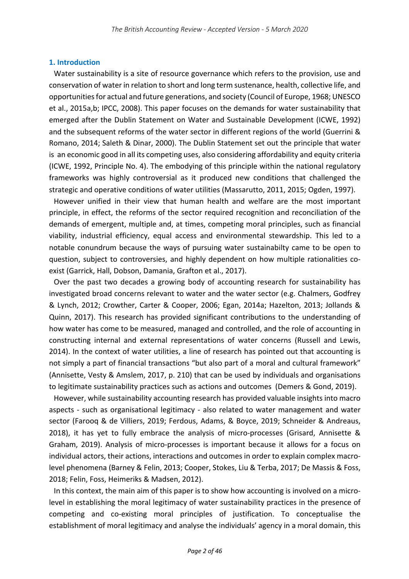#### **1. Introduction**

Water sustainability is a site of resource governance which refers to the provision, use and conservation of water in relation to short and long term sustenance, health, collective life, and opportunities for actual and future generations, and society (Council of Europe, 1968; UNESCO et al., 2015a,b; IPCC, 2008). This paper focuses on the demands for water sustainability that emerged after the Dublin Statement on Water and Sustainable Development (ICWE, 1992) and the subsequent reforms of the water sector in different regions of the world (Guerrini & Romano, 2014; Saleth & Dinar, 2000). The Dublin Statement set out the principle that water is an economic good in all its competing uses, also considering affordability and equity criteria (ICWE, 1992, Principle No. 4). The embodying of this principle within the national regulatory frameworks was highly controversial as it produced new conditions that challenged the strategic and operative conditions of water utilities (Massarutto, 2011, 2015; Ogden, 1997).

However unified in their view that human health and welfare are the most important principle, in effect, the reforms of the sector required recognition and reconciliation of the demands of emergent, multiple and, at times, competing moral principles, such as financial viability, industrial efficiency, equal access and environmental stewardship. This led to a notable conundrum because the ways of pursuing water sustainabilty came to be open to question, subject to controversies, and highly dependent on how multiple rationalities coexist (Garrick, Hall, Dobson, Damania, Grafton et al., 2017).

Over the past two decades a growing body of accounting research for sustainability has investigated broad concerns relevant to water and the water sector (e.g. Chalmers, Godfrey & Lynch, 2012; Crowther, Carter & Cooper, 2006; Egan, 2014a; Hazelton, 2013; Jollands & Quinn, 2017). This research has provided significant contributions to the understanding of how water has come to be measured, managed and controlled, and the role of accounting in constructing internal and external representations of water concerns (Russell and Lewis, 2014). In the context of water utilities, a line of research has pointed out that accounting is not simply a part of financial transactions "but also part of a moral and cultural framework" (Annisette, Vesty & Amslem, 2017, p. 210) that can be used by individuals and organisations to legitimate sustainability practices such as actions and outcomes (Demers & Gond, 2019).

However, while sustainability accounting research has provided valuable insights into macro aspects - such as organisational legitimacy - also related to water management and water sector (Farooq & de Villiers, 2019; Ferdous, Adams, & Boyce, 2019; Schneider & Andreaus, 2018), it has yet to fully embrace the analysis of micro-processes (Grisard, Annisette & Graham, 2019). Analysis of micro-processes is important because it allows for a focus on individual actors, their actions, interactions and outcomes in order to explain complex macrolevel phenomena (Barney & Felin, 2013; Cooper, Stokes, Liu & Terba, 2017; De Massis & Foss, 2018; Felin, Foss, Heimeriks & Madsen, 2012).

In this context, the main aim of this paper is to show how accounting is involved on a microlevel in establishing the moral legitimacy of water sustainability practices in the presence of competing and co-existing moral principles of justification. To conceptualise the establishment of moral legitimacy and analyse the individuals' agency in a moral domain, this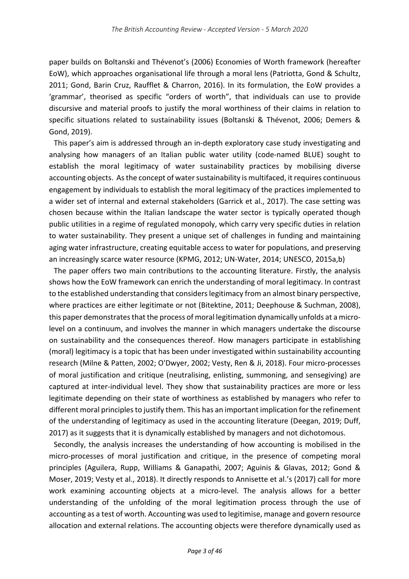paper builds on Boltanski and Thévenot's (2006) Economies of Worth framework (hereafter EoW), which approaches organisational life through a moral lens (Patriotta, Gond & Schultz, 2011; Gond, Barin Cruz, Raufflet & Charron, 2016). In its formulation, the EoW provides a 'grammar', theorised as specific "orders of worth", that individuals can use to provide discursive and material proofs to justify the moral worthiness of their claims in relation to specific situations related to sustainability issues (Boltanski & Thévenot, 2006; Demers & Gond, 2019).

This paper's aim is addressed through an in-depth exploratory case study investigating and analysing how managers of an Italian public water utility (code-named BLUE) sought to establish the moral legitimacy of water sustainability practices by mobilising diverse accounting objects. As the concept of water sustainability is multifaced, it requires continuous engagement by individuals to establish the moral legitimacy of the practices implemented to a wider set of internal and external stakeholders (Garrick et al., 2017). The case setting was chosen because within the Italian landscape the water sector is typically operated though public utilities in a regime of regulated monopoly, which carry very specific duties in relation to water sustainability. They present a unique set of challenges in funding and maintaining aging water infrastructure, creating equitable access to water for populations, and preserving an increasingly scarce water resource (KPMG, 2012; UN-Water, 2014; UNESCO, 2015a,b)

The paper offers two main contributions to the accounting literature. Firstly, the analysis shows how the EoW framework can enrich the understanding of moral legitimacy. In contrast to the established understanding that considers legitimacy from an almost binary perspective, where practices are either legitimate or not (Bitektine, 2011; Deephouse & Suchman, 2008), this paper demonstrates that the process of moral legitimation dynamically unfolds at a microlevel on a continuum, and involves the manner in which managers undertake the discourse on sustainability and the consequences thereof. How managers participate in establishing (moral) legitimacy is a topic that has been under investigated within sustainability accounting research (Milne & Patten, 2002; O'Dwyer, 2002; Vesty, Ren & Ji, 2018). Four micro-processes of moral justification and critique (neutralising, enlisting, summoning, and sensegiving) are captured at inter-individual level. They show that sustainability practices are more or less legitimate depending on their state of worthiness as established by managers who refer to different moral principles to justify them. This has an important implication for the refinement of the understanding of legitimacy as used in the accounting literature (Deegan, 2019; Duff, 2017) as it suggests that it is dynamically established by managers and not dichotomous.

Secondly, the analysis increases the understanding of how accounting is mobilised in the micro-processes of moral justification and critique, in the presence of competing moral principles (Aguilera, Rupp, Williams & Ganapathi, 2007; Aguinis & Glavas, 2012; Gond & Moser, 2019; Vesty et al., 2018). It directly responds to Annisette et al.'s (2017) call for more work examining accounting objects at a micro-level. The analysis allows for a better understanding of the unfolding of the moral legitimation process through the use of accounting as a test of worth. Accounting was used to legitimise, manage and govern resource allocation and external relations. The accounting objects were therefore dynamically used as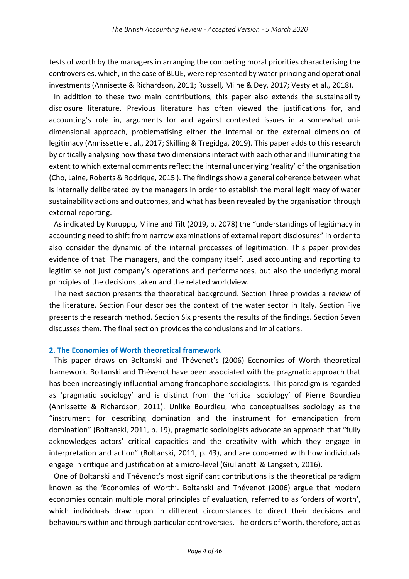tests of worth by the managers in arranging the competing moral priorities characterising the controversies, which, in the case of BLUE, were represented by water princing and operational investments (Annisette & Richardson, 2011; Russell, Milne & Dey, 2017; Vesty et al., 2018).

In addition to these two main contributions, this paper also extends the sustainability disclosure literature. Previous literature has often viewed the justifications for, and accounting's role in, arguments for and against contested issues in a somewhat unidimensional approach, problematising either the internal or the external dimension of legitimacy (Annissette et al., 2017; Skilling & Tregidga, 2019). This paper adds to this research by critically analysing how these two dimensions interact with each other and illuminating the extent to which external comments reflect the internal underlying 'reality' of the organisation (Cho, Laine, Roberts & Rodrique, 2015 ). The findings show a general coherence between what is internally deliberated by the managers in order to establish the moral legitimacy of water sustainability actions and outcomes, and what has been revealed by the organisation through external reporting.

As indicated by Kuruppu, Milne and Tilt (2019, p. 2078) the "understandings of legitimacy in accounting need to shift from narrow examinations of external report disclosures" in order to also consider the dynamic of the internal processes of legitimation. This paper provides evidence of that. The managers, and the company itself, used accounting and reporting to legitimise not just company's operations and performances, but also the underlyng moral principles of the decisions taken and the related worldview.

The next section presents the theoretical background. Section Three provides a review of the literature. Section Four describes the context of the water sector in Italy. Section Five presents the research method. Section Six presents the results of the findings. Section Seven discusses them. The final section provides the conclusions and implications.

#### **2. The Economies of Worth theoretical framework**

This paper draws on Boltanski and Thévenot's (2006) Economies of Worth theoretical framework. Boltanski and Thévenot have been associated with the pragmatic approach that has been increasingly influential among francophone sociologists. This paradigm is regarded as 'pragmatic sociology' and is distinct from the 'critical sociology' of Pierre Bourdieu (Annissette & Richardson, 2011). Unlike Bourdieu, who conceptualises sociology as the "instrument for describing domination and the instrument for emancipation from domination" (Boltanski, 2011, p. 19), pragmatic sociologists advocate an approach that "fully acknowledges actors' critical capacities and the creativity with which they engage in interpretation and action" (Boltanski, 2011, p. 43), and are concerned with how individuals engage in critique and justification at a micro-level (Giulianotti & Langseth, 2016).

One of Boltanski and Thévenot's most significant contributions is the theoretical paradigm known as the 'Economies of Worth'. Boltanski and Thévenot (2006) argue that modern economies contain multiple moral principles of evaluation, referred to as 'orders of worth', which individuals draw upon in different circumstances to direct their decisions and behaviours within and through particular controversies. The orders of worth, therefore, act as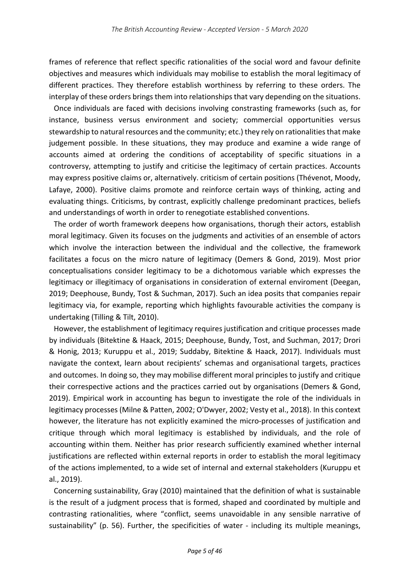frames of reference that reflect specific rationalities of the social word and favour definite objectives and measures which individuals may mobilise to establish the moral legitimacy of different practices. They therefore establish worthiness by referring to these orders. The interplay of these orders brings them into relationships that vary depending on the situations.

Once individuals are faced with decisions involving constrasting frameworks (such as, for instance, business versus environment and society; commercial opportunities versus stewardship to natural resources and the community; etc.) they rely on rationalities that make judgement possible. In these situations, they may produce and examine a wide range of accounts aimed at ordering the conditions of acceptability of specific situations in a controversy, attempting to justify and criticise the legitimacy of certain practices. Accounts may express positive claims or, alternatively. criticism of certain positions (Thévenot, Moody, Lafaye, 2000). Positive claims promote and reinforce certain ways of thinking, acting and evaluating things. Criticisms, by contrast, explicitly challenge predominant practices, beliefs and understandings of worth in order to renegotiate established conventions.

The order of worth framework deepens how organisations, thorugh their actors, establish moral legitimacy. Given its focuses on the judgments and activities of an ensemble of actors which involve the interaction between the individual and the collective, the framework facilitates a focus on the micro nature of legitimacy (Demers & Gond, 2019). Most prior conceptualisations consider legitimacy to be a dichotomous variable which expresses the legitimacy or illegitimacy of organisations in consideration of external enviroment (Deegan, 2019; Deephouse, Bundy, Tost & Suchman, 2017). Such an idea posits that companies repair legitimacy via, for example, reporting which highlights favourable activities the company is undertaking (Tilling & Tilt, 2010).

However, the establishment of legitimacy requires justification and critique processes made by individuals (Bitektine & Haack, 2015; Deephouse, Bundy, Tost, and Suchman, 2017; Drori & Honig, 2013; Kuruppu et al., 2019; Suddaby, Bitektine & Haack, 2017). Individuals must navigate the context, learn about recipients' schemas and organisational targets, practices and outcomes. In doing so, they may mobilise different moral principles to justify and critique their correspective actions and the practices carried out by organisations (Demers & Gond, 2019). Empirical work in accounting has begun to investigate the role of the individuals in legitimacy processes (Milne & Patten, 2002; O'Dwyer, 2002; Vesty et al., 2018). In this context however, the literature has not explicitly examined the micro-processes of justification and critique through which moral legitimacy is established by individuals, and the role of accounting within them. Neither has prior research sufficiently examined whether internal justifications are reflected within external reports in order to establish the moral legitimacy of the actions implemented, to a wide set of internal and external stakeholders (Kuruppu et al., 2019).

Concerning sustainability, Gray (2010) maintained that the definition of what is sustainable is the result of a judgment process that is formed, shaped and coordinated by multiple and contrasting rationalities, where "conflict, seems unavoidable in any sensible narrative of sustainability" (p. 56). Further, the specificities of water - including its multiple meanings,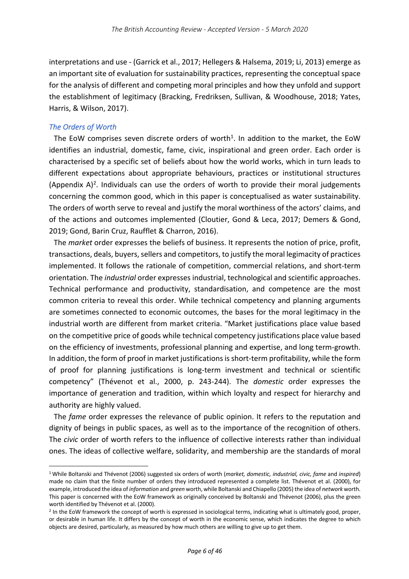interpretations and use - (Garrick et al., 2017; Hellegers & Halsema, 2019; Li, 2013) emerge as an important site of evaluation for sustainability practices, representing the conceptual space for the analysis of different and competing moral principles and how they unfold and support the establishment of legitimacy (Bracking, Fredriksen, Sullivan, & Woodhouse, 2018; Yates, Harris, & Wilson, 2017).

## *The Orders of Worth*

The EoW comprises seven discrete orders of worth<sup>1</sup>. In addition to the market, the EoW identifies an industrial, domestic, fame, civic, inspirational and green order. Each order is characterised by a specific set of beliefs about how the world works, which in turn leads to different expectations about appropriate behaviours, practices or institutional structures (Appendix  $A$ )<sup>2</sup>. Individuals can use the orders of worth to provide their moral judgements concerning the common good, which in this paper is conceptualised as water sustainability. The orders of worth serve to reveal and justify the moral worthiness of the actors' claims, and of the actions and outcomes implemented (Cloutier, Gond & Leca, 2017; Demers & Gond, 2019; Gond, Barin Cruz, Raufflet & Charron, 2016).

The *market* order expresses the beliefs of business. It represents the notion of price, profit, transactions, deals, buyers, sellers and competitors, to justify the moral legimacity of practices implemented. It follows the rationale of competition, commercial relations, and short-term orientation. The *industrial* order expresses industrial, technological and scientific approaches. Technical performance and productivity, standardisation, and competence are the most common criteria to reveal this order. While technical competency and planning arguments are sometimes connected to economic outcomes, the bases for the moral legitimacy in the industrial worth are different from market criteria. "Market justifications place value based on the competitive price of goods while technical competency justifications place value based on the efficiency of investments, professional planning and expertise, and long term-growth. In addition, the form of proof in market justifications is short-term profitability, while the form of proof for planning justifications is long-term investment and technical or scientific competency" (Thévenot et al., 2000, p. 243-244). The *domestic* order expresses the importance of generation and tradition, within which loyalty and respect for hierarchy and authority are highly valued.

The *fame* order expresses the relevance of public opinion. It refers to the reputation and dignity of beings in public spaces, as well as to the importance of the recognition of others. The *civic* order of worth refers to the influence of collective interests rather than individual ones. The ideas of collective welfare, solidarity, and membership are the standards of moral

<sup>1</sup> While Boltanski and Thévenot (2006) suggested six orders of worth (*market, domestic, industrial, civic, fame* and *inspired*) made no claim that the finite number of orders they introduced represented a complete list. Thévenot et al. (2000), for example, introduced the idea of *information* and *green* worth, while Boltanski and Chiapello (2005) the idea of *network* worth. This paper is concerned with the EoW framework as originally conceived by Boltanski and Thévenot (2006), plus the green worth identified by Thévenot et al. (2000).

<sup>&</sup>lt;sup>2</sup> In the EoW framework the concept of worth is expressed in sociological terms, indicating what is ultimately good, proper, or desirable in human life. It differs by the concept of worth in the economic sense, which indicates the degree to which objects are desired, particularly, as measured by how much others are willing to give up to get them.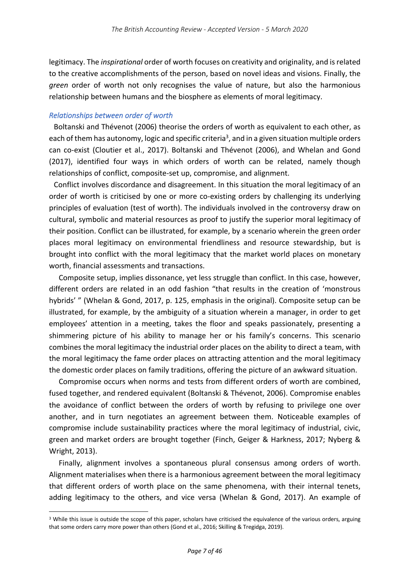legitimacy. The *inspirational* order of worth focuses on creativity and originality, and is related to the creative accomplishments of the person, based on novel ideas and visions. Finally, the *green* order of worth not only recognises the value of nature, but also the harmonious relationship between humans and the biosphere as elements of moral legitimacy.

### *Relationships between order of worth*

Boltanski and Thévenot (2006) theorise the orders of worth as equivalent to each other, as each of them has autonomy, logic and specific criteria<sup>3</sup>, and in a given situation multiple orders can co-exist (Cloutier et al., 2017). Boltanski and Thévenot (2006), and Whelan and Gond (2017), identified four ways in which orders of worth can be related, namely though relationships of conflict, composite-set up, compromise, and alignment.

Conflict involves discordance and disagreement. In this situation the moral legitimacy of an order of worth is criticised by one or more co-existing orders by challenging its underlying principles of evaluation (test of worth). The individuals involved in the controversy draw on cultural, symbolic and material resources as proof to justify the superior moral legitimacy of their position. Conflict can be illustrated, for example, by a scenario wherein the green order places moral legitimacy on environmental friendliness and resource stewardship, but is brought into conflict with the moral legitimacy that the market world places on monetary worth, financial assessments and transactions.

Composite setup, implies dissonance, yet less struggle than conflict. In this case, however, different orders are related in an odd fashion "that results in the creation of 'monstrous hybrids' " (Whelan & Gond, 2017, p. 125, emphasis in the original). Composite setup can be illustrated, for example, by the ambiguity of a situation wherein a manager, in order to get employees' attention in a meeting, takes the floor and speaks passionately, presenting a shimmering picture of his ability to manage her or his family's concerns. This scenario combines the moral legitimacy the industrial order places on the ability to direct a team, with the moral legitimacy the fame order places on attracting attention and the moral legitimacy the domestic order places on family traditions, offering the picture of an awkward situation.

Compromise occurs when norms and tests from different orders of worth are combined, fused together, and rendered equivalent (Boltanski & Thévenot, 2006). Compromise enables the avoidance of conflict between the orders of worth by refusing to privilege one over another, and in turn negotiates an agreement between them. Noticeable examples of compromise include sustainability practices where the moral legitimacy of industrial, civic, green and market orders are brought together (Finch, Geiger & Harkness, 2017; Nyberg & Wright, 2013).

Finally, alignment involves a spontaneous plural consensus among orders of worth. Alignment materialises when there is a harmonious agreement between the moral legitimacy that different orders of worth place on the same phenomena, with their internal tenets, adding legitimacy to the others, and vice versa (Whelan & Gond, 2017). An example of

<sup>&</sup>lt;sup>3</sup> While this issue is outside the scope of this paper, scholars have criticised the equivalence of the various orders, arguing that some orders carry more power than others (Gond et al., 2016; Skilling & Tregidga, 2019).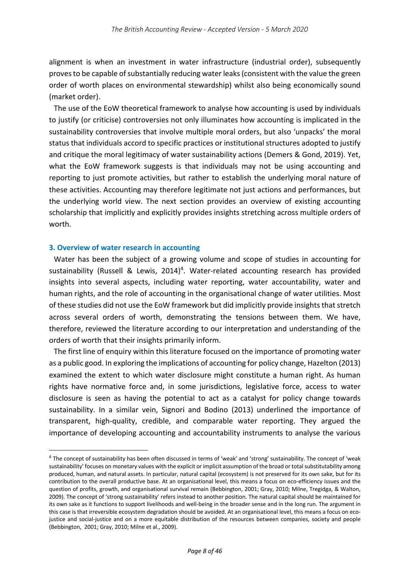alignment is when an investment in water infrastructure (industrial order), subsequently proves to be capable of substantially reducing water leaks (consistent with the value the green order of worth places on environmental stewardship) whilst also being economically sound (market order).

The use of the EoW theoretical framework to analyse how accounting is used by individuals to justify (or criticise) controversies not only illuminates how accounting is implicated in the sustainability controversies that involve multiple moral orders, but also 'unpacks' the moral status that individuals accord to specific practices or institutional structures adopted to justify and critique the moral legitimacy of water sustainability actions (Demers & Gond, 2019). Yet, what the EoW framework suggests is that individuals may not be using accounting and reporting to just promote activities, but rather to establish the underlying moral nature of these activities. Accounting may therefore legitimate not just actions and performances, but the underlying world view. The next section provides an overview of existing accounting scholarship that implicitly and explicitly provides insights stretching across multiple orders of worth.

#### **3. Overview of water research in accounting**

Water has been the subject of a growing volume and scope of studies in accounting for sustainability (Russell & Lewis, 2014)<sup>4</sup>. Water-related accounting research has provided insights into several aspects, including water reporting, water accountability, water and human rights, and the role of accounting in the organisational change of water utilities. Most of these studies did not use the EoW framework but did implicitly provide insights that stretch across several orders of worth, demonstrating the tensions between them. We have, therefore, reviewed the literature according to our interpretation and understanding of the orders of worth that their insights primarily inform.

The first line of enquiry within this literature focused on the importance of promoting water as a public good. In exploring the implications of accounting for policy change, Hazelton (2013) examined the extent to which water disclosure might constitute a human right. As human rights have normative force and, in some jurisdictions, legislative force, access to water disclosure is seen as having the potential to act as a catalyst for policy change towards sustainability. In a similar vein, Signori and Bodino (2013) underlined the importance of transparent, high-quality, credible, and comparable water reporting. They argued the importance of developing accounting and accountability instruments to analyse the various

<sup>&</sup>lt;sup>4</sup> The concept of sustainability has been often discussed in terms of 'weak' and 'strong' sustainability. The concept of 'weak sustainability' focuses on monetary values with the explicit or implicit assumption of the broad or total substitutability among produced, human, and natural assets. In particular, natural capital (ecosystem) is not preserved for its own sake, but for its contribution to the overall productive base. At an organisational level, this means a focus on eco-efficiency issues and the question of profits, growth, and organisational survival remain (Bebbington, 2001; Gray, 2010; Milne, Tregidga, & Walton, 2009). The concept of 'strong sustainability' refers instead to another position. The natural capital should be maintained for its own sake as it functions to support livelihoods and well-being in the broader sense and in the long run. The argument in this case is that irreversible ecosystem degradation should be avoided. At an organisational level, this means a focus on ecojustice and social-justice and on a more equitable distribution of the resources between companies, society and people (Bebbington, 2001; Gray, 2010; Milne et al., 2009).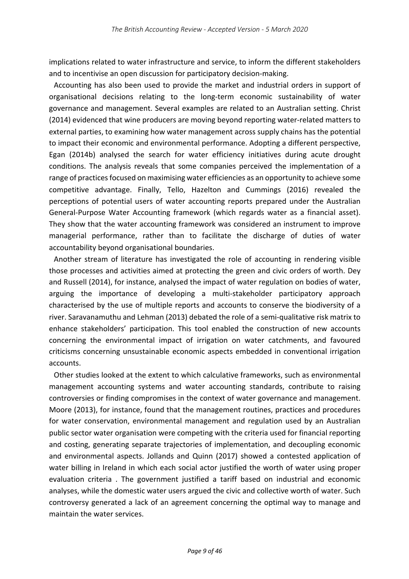implications related to water infrastructure and service, to inform the different stakeholders and to incentivise an open discussion for participatory decision-making.

Accounting has also been used to provide the market and industrial orders in support of organisational decisions relating to the long-term economic sustainability of water governance and management. Several examples are related to an Australian setting. Christ (2014) evidenced that wine producers are moving beyond reporting water-related matters to external parties, to examining how water management across supply chains has the potential to impact their economic and environmental performance. Adopting a different perspective, Egan (2014b) analysed the search for water efficiency initiatives during acute drought conditions. The analysis reveals that some companies perceived the implementation of a range of practices focused on maximising water efficiencies as an opportunity to achieve some competitive advantage. Finally, Tello, Hazelton and Cummings (2016) revealed the perceptions of potential users of water accounting reports prepared under the Australian General-Purpose Water Accounting framework (which regards water as a financial asset). They show that the water accounting framework was considered an instrument to improve managerial performance, rather than to facilitate the discharge of duties of water accountability beyond organisational boundaries.

Another stream of literature has investigated the role of accounting in rendering visible those processes and activities aimed at protecting the green and civic orders of worth. Dey and Russell (2014), for instance, analysed the impact of water regulation on bodies of water, arguing the importance of developing a multi-stakeholder participatory approach characterised by the use of multiple reports and accounts to conserve the biodiversity of a river. Saravanamuthu and Lehman (2013) debated the role of a semi-qualitative risk matrix to enhance stakeholders' participation. This tool enabled the construction of new accounts concerning the environmental impact of irrigation on water catchments, and favoured criticisms concerning unsustainable economic aspects embedded in conventional irrigation accounts.

Other studies looked at the extent to which calculative frameworks, such as environmental management accounting systems and water accounting standards, contribute to raising controversies or finding compromises in the context of water governance and management. Moore (2013), for instance, found that the management routines, practices and procedures for water conservation, environmental management and regulation used by an Australian public sector water organisation were competing with the criteria used for financial reporting and costing, generating separate trajectories of implementation, and decoupling economic and environmental aspects. Jollands and Quinn (2017) showed a contested application of water billing in Ireland in which each social actor justified the worth of water using proper evaluation criteria . The government justified a tariff based on industrial and economic analyses, while the domestic water users argued the civic and collective worth of water. Such controversy generated a lack of an agreement concerning the optimal way to manage and maintain the water services.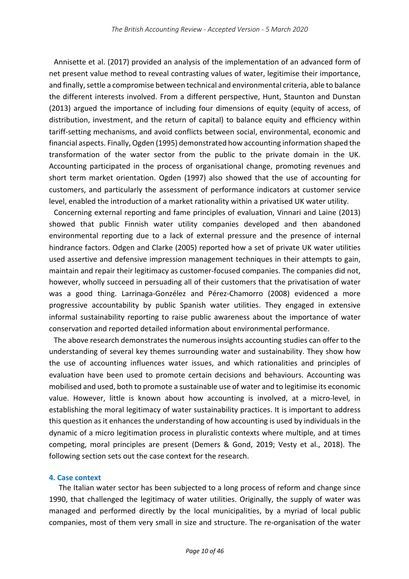Annisette et al. (2017) provided an analysis of the implementation of an advanced form of net present value method to reveal contrasting values of water, legitimise their importance, and finally, settle a compromise between technical and environmental criteria, able to balance the different interests involved. From a different perspective, Hunt, Staunton and Dunstan (2013) argued the importance of including four dimensions of equity (equity of access, of distribution, investment, and the return of capital) to balance equity and efficiency within tariff-setting mechanisms, and avoid conflicts between social, environmental, economic and financial aspects. Finally, Ogden (1995) demonstrated how accounting information shaped the transformation of the water sector from the public to the private domain in the UK. Accounting participated in the process of organisational change, promoting revenues and short term market orientation. Ogden (1997) also showed that the use of accounting for customers, and particularly the assessment of performance indicators at customer service level, enabled the introduction of a market rationality within a privatised UK water utility.

Concerning external reporting and fame principles of evaluation, Vinnari and Laine (2013) showed that public Finnish water utility companies developed and then abandoned environmental reporting due to a lack of external pressure and the presence of internal hindrance factors. Odgen and Clarke (2005) reported how a set of private UK water utilities used assertive and defensive impression management techniques in their attempts to gain, maintain and repair their legitimacy as customer-focused companies. The companies did not, however, wholly succeed in persuading all of their customers that the privatisation of water was a good thing. Larrinaga-Gonzélez and Pérez-Chamorro (2008) evidenced a more progressive accountability by public Spanish water utilities. They engaged in extensive informal sustainability reporting to raise public awareness about the importance of water conservation and reported detailed information about environmental performance.

The above research demonstrates the numerous insights accounting studies can offer to the understanding of several key themes surrounding water and sustainability. They show how the use of accounting influences water issues, and which rationalities and principles of evaluation have been used to promote certain decisions and behaviours. Accounting was mobilised and used, both to promote a sustainable use of water and to legitimise its economic value. However, little is known about how accounting is involved, at a micro-level, in establishing the moral legitimacy of water sustainability practices. It is important to address this question as it enhances the understanding of how accounting is used by individuals in the dynamic of a micro legitimation process in pluralistic contexts where multiple, and at times competing, moral principles are present (Demers & Gond, 2019; Vesty et al., 2018). The following section sets out the case context for the research.

#### **4. Case context**

The Italian water sector has been subjected to a long process of reform and change since 1990, that challenged the legitimacy of water utilities. Originally, the supply of water was managed and performed directly by the local municipalities, by a myriad of local public companies, most of them very small in size and structure. The re-organisation of the water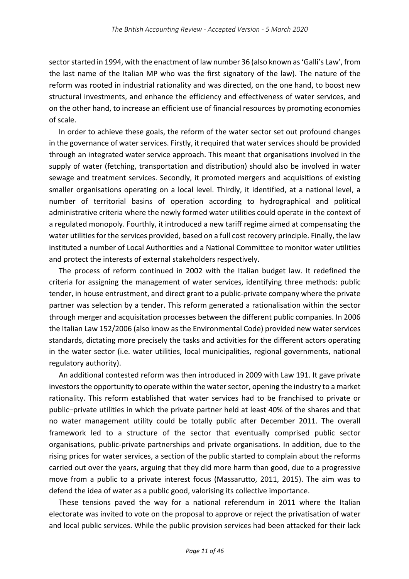sector started in 1994, with the enactment of law number 36 (also known as 'Galli's Law', from the last name of the Italian MP who was the first signatory of the law). The nature of the reform was rooted in industrial rationality and was directed, on the one hand, to boost new structural investments, and enhance the efficiency and effectiveness of water services, and on the other hand, to increase an efficient use of financial resources by promoting economies of scale.

In order to achieve these goals, the reform of the water sector set out profound changes in the governance of water services. Firstly, it required that water services should be provided through an integrated water service approach. This meant that organisations involved in the supply of water (fetching, transportation and distribution) should also be involved in water sewage and treatment services. Secondly, it promoted mergers and acquisitions of existing smaller organisations operating on a local level. Thirdly, it identified, at a national level, a number of territorial basins of operation according to hydrographical and political administrative criteria where the newly formed water utilities could operate in the context of a regulated monopoly. Fourthly, it introduced a new tariff regime aimed at compensating the water utilities for the services provided, based on a full cost recovery principle. Finally, the law instituted a number of Local Authorities and a National Committee to monitor water utilities and protect the interests of external stakeholders respectively.

The process of reform continued in 2002 with the Italian budget law. It redefined the criteria for assigning the management of water services, identifying three methods: public tender, in house entrustment, and direct grant to a public-private company where the private partner was selection by a tender. This reform generated a rationalisation within the sector through merger and acquisitation processes between the different public companies. In 2006 the Italian Law 152/2006 (also know as the Environmental Code) provided new water services standards, dictating more precisely the tasks and activities for the different actors operating in the water sector (i.e. water utilities, local municipalities, regional governments, national regulatory authority).

An additional contested reform was then introduced in 2009 with Law 191. It gave private investors the opportunity to operate within the water sector, opening the industry to a market rationality. This reform established that water services had to be franchised to private or public–private utilities in which the private partner held at least 40% of the shares and that no water management utility could be totally public after December 2011. The overall framework led to a structure of the sector that eventually comprised public sector organisations, public-private partnerships and private organisations. In addition, due to the rising prices for water services, a section of the public started to complain about the reforms carried out over the years, arguing that they did more harm than good, due to a progressive move from a public to a private interest focus (Massarutto, 2011, 2015). The aim was to defend the idea of water as a public good, valorising its collective importance.

These tensions paved the way for a national referendum in 2011 where the Italian electorate was invited to vote on the proposal to approve or reject the privatisation of water and local public services. While the public provision services had been attacked for their lack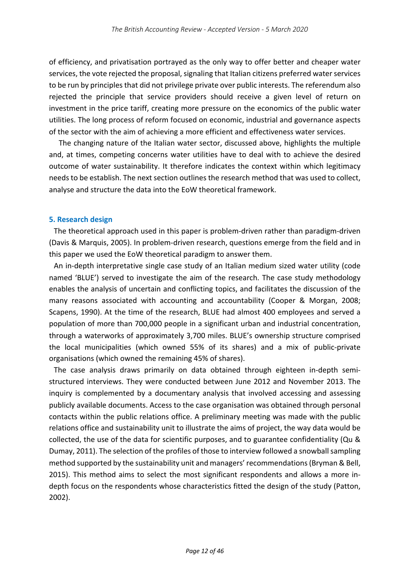of efficiency, and privatisation portrayed as the only way to offer better and cheaper water services, the vote rejected the proposal, signaling that Italian citizens preferred water services to be run by principles that did not privilege private over public interests. The referendum also rejected the principle that service providers should receive a given level of return on investment in the price tariff, creating more pressure on the economics of the public water utilities. The long process of reform focused on economic, industrial and governance aspects of the sector with the aim of achieving a more efficient and effectiveness water services.

The changing nature of the Italian water sector, discussed above, highlights the multiple and, at times, competing concerns water utilities have to deal with to achieve the desired outcome of water sustainability. It therefore indicates the context within which legitimacy needs to be establish. The next section outlines the research method that was used to collect, analyse and structure the data into the EoW theoretical framework.

#### **5. Research design**

The theoretical approach used in this paper is problem-driven rather than paradigm-driven (Davis & Marquis, 2005). In problem-driven research, questions emerge from the field and in this paper we used the EoW theoretical paradigm to answer them.

An in-depth interpretative single case study of an Italian medium sized water utility (code named 'BLUE') served to investigate the aim of the research. The case study methodology enables the analysis of uncertain and conflicting topics, and facilitates the discussion of the many reasons associated with accounting and accountability (Cooper & Morgan, 2008; Scapens, 1990). At the time of the research, BLUE had almost 400 employees and served a population of more than 700,000 people in a significant urban and industrial concentration, through a waterworks of approximately 3,700 miles. BLUE's ownership structure comprised the local municipalities (which owned 55% of its shares) and a mix of public-private organisations (which owned the remaining 45% of shares).

The case analysis draws primarily on data obtained through eighteen in-depth semistructured interviews. They were conducted between June 2012 and November 2013. The inquiry is complemented by a documentary analysis that involved accessing and assessing publicly available documents. Access to the case organisation was obtained through personal contacts within the public relations office. A preliminary meeting was made with the public relations office and sustainability unit to illustrate the aims of project, the way data would be collected, the use of the data for scientific purposes, and to guarantee confidentiality (Qu & Dumay, 2011). The selection of the profiles of those to interview followed a snowball sampling method supported by the sustainability unit and managers' recommendations (Bryman & Bell, 2015). This method aims to select the most significant respondents and allows a more indepth focus on the respondents whose characteristics fitted the design of the study (Patton, 2002).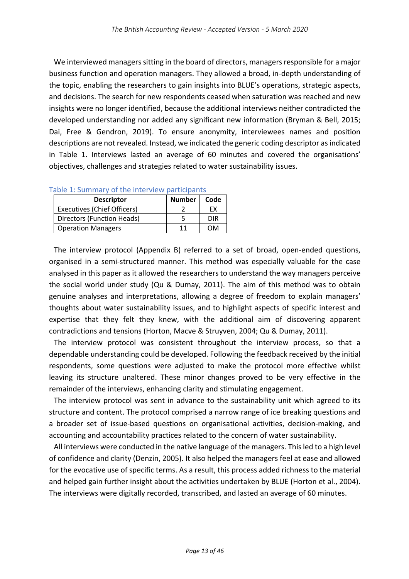We interviewed managers sitting in the board of directors, managers responsible for a major business function and operation managers. They allowed a broad, in-depth understanding of the topic, enabling the researchers to gain insights into BLUE's operations, strategic aspects, and decisions. The search for new respondents ceased when saturation was reached and new insights were no longer identified, because the additional interviews neither contradicted the developed understanding nor added any significant new information (Bryman & Bell, 2015; Dai, Free & Gendron, 2019). To ensure anonymity, interviewees names and position descriptions are not revealed. Instead, we indicated the generic coding descriptor as indicated in Table 1. Interviews lasted an average of 60 minutes and covered the organisations' objectives, challenges and strategies related to water sustainability issues.

| able 1. Julianually Office interview participants |               |            |
|---------------------------------------------------|---------------|------------|
| <b>Descriptor</b>                                 | <b>Number</b> | Code       |
| <b>Executives (Chief Officers)</b>                |               | FΧ.        |
| Directors (Function Heads)                        |               | <b>DIR</b> |
| <b>Operation Managers</b>                         | 11            | OΜ         |

# Table 1: Summary of the interview participants

The interview protocol (Appendix B) referred to a set of broad, open-ended questions, organised in a semi-structured manner. This method was especially valuable for the case analysed in this paper as it allowed the researchers to understand the way managers perceive the social world under study (Qu & Dumay, 2011). The aim of this method was to obtain genuine analyses and interpretations, allowing a degree of freedom to explain managers' thoughts about water sustainability issues, and to highlight aspects of specific interest and expertise that they felt they knew, with the additional aim of discovering apparent contradictions and tensions (Horton, Macve & Struyven, 2004; Qu & Dumay, 2011).

The interview protocol was consistent throughout the interview process, so that a dependable understanding could be developed. Following the feedback received by the initial respondents, some questions were adjusted to make the protocol more effective whilst leaving its structure unaltered. These minor changes proved to be very effective in the remainder of the interviews, enhancing clarity and stimulating engagement.

The interview protocol was sent in advance to the sustainability unit which agreed to its structure and content. The protocol comprised a narrow range of ice breaking questions and a broader set of issue-based questions on organisational activities, decision-making, and accounting and accountability practices related to the concern of water sustainability.

All interviews were conducted in the native language of the managers. This led to a high level of confidence and clarity (Denzin, 2005). It also helped the managers feel at ease and allowed for the evocative use of specific terms. As a result, this process added richness to the material and helped gain further insight about the activities undertaken by BLUE (Horton et al., 2004). The interviews were digitally recorded, transcribed, and lasted an average of 60 minutes.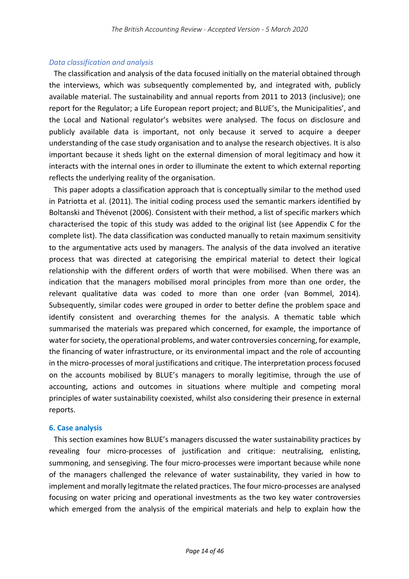#### *Data classification and analysis*

The classification and analysis of the data focused initially on the material obtained through the interviews, which was subsequently complemented by, and integrated with, publicly available material. The sustainability and annual reports from 2011 to 2013 (inclusive); one report for the Regulator; a Life European report project; and BLUE's, the Municipalities', and the Local and National regulator's websites were analysed. The focus on disclosure and publicly available data is important, not only because it served to acquire a deeper understanding of the case study organisation and to analyse the research objectives. It is also important because it sheds light on the external dimension of moral legitimacy and how it interacts with the internal ones in order to illuminate the extent to which external reporting reflects the underlying reality of the organisation.

This paper adopts a classification approach that is conceptually similar to the method used in Patriotta et al. (2011). The initial coding process used the semantic markers identified by Boltanski and Thévenot (2006). Consistent with their method, a list of specific markers which characterised the topic of this study was added to the original list (see Appendix C for the complete list). The data classification was conducted manually to retain maximum sensitivity to the argumentative acts used by managers. The analysis of the data involved an iterative process that was directed at categorising the empirical material to detect their logical relationship with the different orders of worth that were mobilised. When there was an indication that the managers mobilised moral principles from more than one order, the relevant qualitative data was coded to more than one order (van Bommel, 2014). Subsequently, similar codes were grouped in order to better define the problem space and identify consistent and overarching themes for the analysis. A thematic table which summarised the materials was prepared which concerned, for example, the importance of water for society, the operational problems, and water controversies concerning, for example, the financing of water infrastructure, or its environmental impact and the role of accounting in the micro-processes of moral justifications and critique. The interpretation process focused on the accounts mobilised by BLUE's managers to morally legitimise, through the use of accounting, actions and outcomes in situations where multiple and competing moral principles of water sustainability coexisted, whilst also considering their presence in external reports.

### **6. Case analysis**

This section examines how BLUE's managers discussed the water sustainability practices by revealing four micro-processes of justification and critique: neutralising, enlisting, summoning, and sensegiving. The four micro-processes were important because while none of the managers challenged the relevance of water sustainability, they varied in how to implement and morally legitmate the related practices. The four micro-processes are analysed focusing on water pricing and operational investments as the two key water controversies which emerged from the analysis of the empirical materials and help to explain how the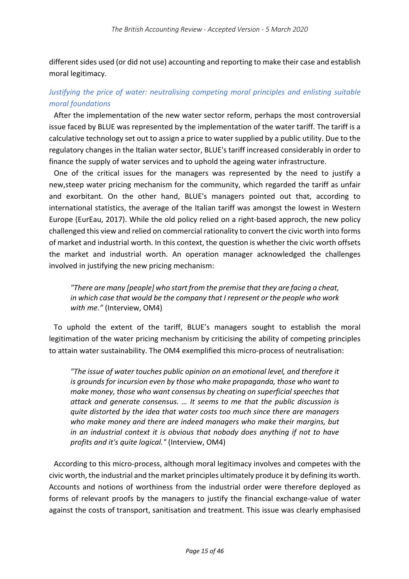different sides used (or did not use) accounting and reporting to make their case and establish moral legitimacy.

# *Justifying the price of water: neutralising competing moral principles and enlisting suitable moral foundations*

After the implementation of the new water sector reform, perhaps the most controversial issue faced by BLUE was represented by the implementation of the water tariff. The tariff is a calculative technology set out to assign a price to water supplied by a public utility. Due to the regulatory changes in the Italian water sector, BLUE's tariff increased considerably in order to finance the supply of water services and to uphold the ageing water infrastructure.

One of the critical issues for the managers was represented by the need to justify a new,steep water pricing mechanism for the community, which regarded the tariff as unfair and exorbitant. On the other hand, BLUE's managers pointed out that, according to international statistics, the average of the Italian tariff was amongst the lowest in Western Europe (EurEau, 2017). While the old policy relied on a right-based approch, the new policy challenged this view and relied on commercial rationality to convert the civic worth into forms of market and industrial worth. In this context, the question is whether the civic worth offsets the market and industrial worth. An operation manager acknowledged the challenges involved in justifying the new pricing mechanism:

*"There are many [people] who start from the premise that they are facing a cheat, in which case that would be the company that I represent or the people who work with me."* (Interview, OM4)

To uphold the extent of the tariff, BLUE's managers sought to establish the moral legitimation of the water pricing mechanism by criticising the ability of competing principles to attain water sustainability. The OM4 exemplified this micro-process of neutralisation:

*"The issue of water touches public opinion on an emotional level, and therefore it is grounds for incursion even by those who make propaganda, those who want to make money, those who want consensus by cheating on superficial speeches that attack and generate consensus. … It seems to me that the public discussion is quite distorted by the idea that water costs too much since there are managers who make money and there are indeed managers who make their margins, but in an industrial context it is obvious that nobody does anything if not to have profits and it's quite logical."* (Interview, OM4)

According to this micro-process, although moral legitimacy involves and competes with the civic worth, the industrial and the market principles ultimately produce it by defining its worth. Accounts and notions of worthiness from the industrial order were therefore deployed as forms of relevant proofs by the managers to justify the financial exchange-value of water against the costs of transport, sanitisation and treatment. This issue was clearly emphasised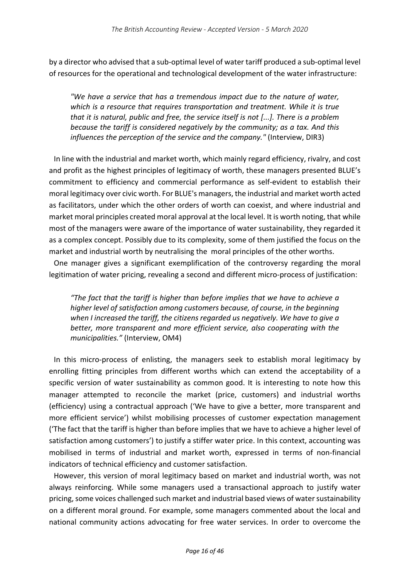by a director who advised that a sub-optimal level of water tariff produced a sub-optimal level of resources for the operational and technological development of the water infrastructure:

*"We have a service that has a tremendous impact due to the nature of water, which is a resource that requires transportation and treatment. While it is true that it is natural, public and free, the service itself is not [...]. There is a problem because the tariff is considered negatively by the community; as a tax. And this influences the perception of the service and the company."* (Interview, DIR3)

In line with the industrial and market worth, which mainly regard efficiency, rivalry, and cost and profit as the highest principles of legitimacy of worth, these managers presented BLUE's commitment to efficiency and commercial performance as self-evident to establish their moral legitimacy over civic worth. For BLUE's managers, the industrial and market worth acted as facilitators, under which the other orders of worth can coexist, and where industrial and market moral principles created moral approval at the local level. It is worth noting, that while most of the managers were aware of the importance of water sustainability, they regarded it as a complex concept. Possibly due to its complexity, some of them justified the focus on the market and industrial worth by neutralising the moral principles of the other worths.

One manager gives a significant exemplification of the controversy regarding the moral legitimation of water pricing, revealing a second and different micro-process of justification:

*"The fact that the tariff is higher than before implies that we have to achieve a higher level of satisfaction among customers because, of course, in the beginning when I increased the tariff, the citizens regarded us negatively. We have to give a better, more transparent and more efficient service, also cooperating with the municipalities."* (Interview, OM4)

In this micro-process of enlisting, the managers seek to establish moral legitimacy by enrolling fitting principles from different worths which can extend the acceptability of a specific version of water sustainability as common good. It is interesting to note how this manager attempted to reconcile the market (price, customers) and industrial worths (efficiency) using a contractual approach ('We have to give a better, more transparent and more efficient service') whilst mobilising processes of customer expectation management ('The fact that the tariff is higher than before implies that we have to achieve a higher level of satisfaction among customers') to justify a stiffer water price. In this context, accounting was mobilised in terms of industrial and market worth, expressed in terms of non-financial indicators of technical efficiency and customer satisfaction.

However, this version of moral legitimacy based on market and industrial worth, was not always reinforcing. While some managers used a transactional approach to justify water pricing, some voices challenged such market and industrial based views of water sustainability on a different moral ground. For example, some managers commented about the local and national community actions advocating for free water services. In order to overcome the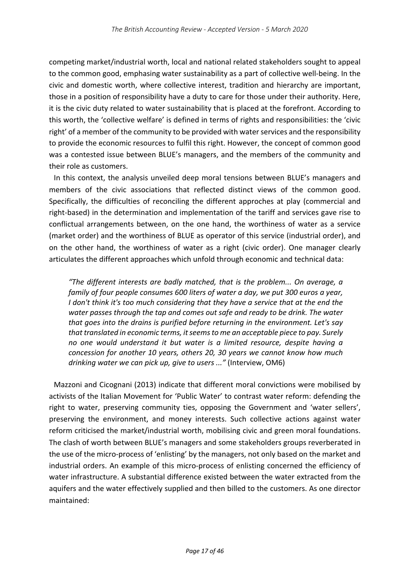competing market/industrial worth, local and national related stakeholders sought to appeal to the common good, emphasing water sustainability as a part of collective well-being. In the civic and domestic worth, where collective interest, tradition and hierarchy are important, those in a position of responsibility have a duty to care for those under their authority. Here, it is the civic duty related to water sustainability that is placed at the forefront. According to this worth, the 'collective welfare' is defined in terms of rights and responsibilities: the 'civic right' of a member of the community to be provided with water services and the responsibility to provide the economic resources to fulfil this right. However, the concept of common good was a contested issue between BLUE's managers, and the members of the community and their role as customers.

In this context, the analysis unveiled deep moral tensions between BLUE's managers and members of the civic associations that reflected distinct views of the common good. Specifically, the difficulties of reconciling the different approches at play (commercial and right-based) in the determination and implementation of the tariff and services gave rise to conflictual arrangements between, on the one hand, the worthiness of water as a service (market order) and the worthiness of BLUE as operator of this service (industrial order), and on the other hand, the worthiness of water as a right (civic order). One manager clearly articulates the different approaches which unfold through economic and technical data:

*"The different interests are badly matched, that is the problem... On average, a family of four people consumes 600 liters of water a day, we put 300 euros a year, I don't think it's too much considering that they have a service that at the end the water passes through the tap and comes out safe and ready to be drink. The water that goes into the drains is purified before returning in the environment. Let's say that translated in economic terms, it seems to me an acceptable piece to pay. Surely no one would understand it but water is a limited resource, despite having a concession for another 10 years, others 20, 30 years we cannot know how much drinking water we can pick up, give to users ..."* (Interview, OM6)

Mazzoni and Cicognani (2013) indicate that different moral convictions were mobilised by activists of the Italian Movement for 'Public Water' to contrast water reform: defending the right to water, preserving community ties, opposing the Government and 'water sellers', preserving the environment, and money interests. Such collective actions against water reform criticised the market/industrial worth, mobilising civic and green moral foundations. The clash of worth between BLUE's managers and some stakeholders groups reverberated in the use of the micro-process of 'enlisting' by the managers, not only based on the market and industrial orders. An example of this micro-process of enlisting concerned the efficiency of water infrastructure. A substantial difference existed between the water extracted from the aquifers and the water effectively supplied and then billed to the customers. As one director maintained: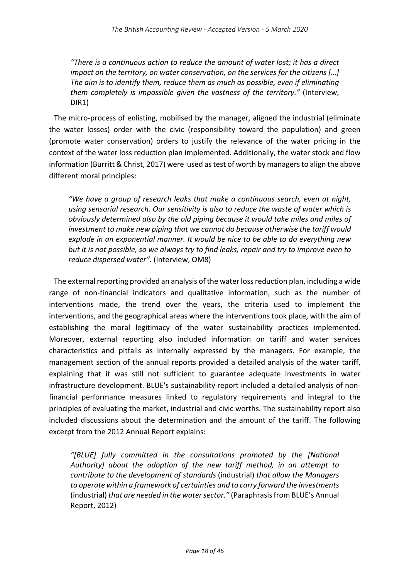*"There is a continuous action to reduce the amount of water lost; it has a direct impact on the territory, on water conservation, on the services for the citizens […] The aim is to identify them, reduce them as much as possible, even if eliminating them completely is impossible given the vastness of the territory."* (Interview, DIR1)

The micro-process of enlisting, mobilised by the manager, aligned the industrial (eliminate the water losses) order with the civic (responsibility toward the population) and green (promote water conservation) orders to justify the relevance of the water pricing in the context of the water loss reduction plan implemented. Additionally, the water stock and flow information (Burritt & Christ, 2017) were used as test of worth by managers to align the above different moral principles:

*"We have a group of research leaks that make a continuous search, even at night, using sensorial research. Our sensitivity is also to reduce the waste of water which is obviously determined also by the old piping because it would take miles and miles of investment to make new piping that we cannot do because otherwise the tariff would explode in an exponential manner. It would be nice to be able to do everything new but it is not possible, so we always try to find leaks, repair and try to improve even to reduce dispersed water".* (Interview, OM8)

The external reporting provided an analysis of the water loss reduction plan, including a wide range of non-financial indicators and qualitative information, such as the number of interventions made, the trend over the years, the criteria used to implement the interventions, and the geographical areas where the interventions took place, with the aim of establishing the moral legitimacy of the water sustainability practices implemented. Moreover, external reporting also included information on tariff and water services characteristics and pitfalls as internally expressed by the managers. For example, the management section of the annual reports provided a detailed analysis of the water tariff, explaining that it was still not sufficient to guarantee adequate investments in water infrastructure development. BLUE's sustainability report included a detailed analysis of nonfinancial performance measures linked to regulatory requirements and integral to the principles of evaluating the market, industrial and civic worths. The sustainability report also included discussions about the determination and the amount of the tariff. The following excerpt from the 2012 Annual Report explains:

*"[BLUE] fully committed in the consultations promoted by the [National Authority] about the adoption of the new tariff method, in an attempt to contribute to the development of standards* (industrial) *that allow the Managers to operate within a framework of certainties and to carry forward the investments*  (industrial) *that are needed in the water sector."* (Paraphrasis from BLUE's Annual Report, 2012)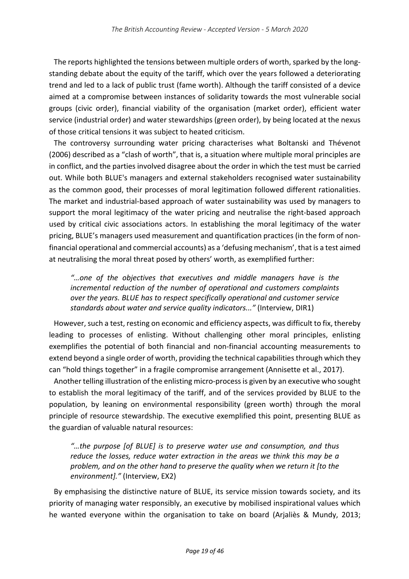The reports highlighted the tensions between multiple orders of worth, sparked by the longstanding debate about the equity of the tariff, which over the years followed a deteriorating trend and led to a lack of public trust (fame worth). Although the tariff consisted of a device aimed at a compromise between instances of solidarity towards the most vulnerable social groups (civic order), financial viability of the organisation (market order), efficient water service (industrial order) and water stewardships (green order), by being located at the nexus of those critical tensions it was subject to heated criticism.

The controversy surrounding water pricing characterises what Boltanski and Thévenot (2006) described as a "clash of worth", that is, a situation where multiple moral principles are in conflict, and the parties involved disagree about the order in which the test must be carried out. While both BLUE's managers and external stakeholders recognised water sustainability as the common good, their processes of moral legitimation followed different rationalities. The market and industrial-based approach of water sustainability was used by managers to support the moral legitimacy of the water pricing and neutralise the right-based approach used by critical civic associations actors. In establishing the moral legitimacy of the water pricing, BLUE's managers used measurement and quantification practices (in the form of nonfinancial operational and commercial accounts) as a 'defusing mechanism', that is a test aimed at neutralising the moral threat posed by others' worth, as exemplified further:

*"…one of the objectives that executives and middle managers have is the incremental reduction of the number of operational and customers complaints over the years. BLUE has to respect specifically operational and customer service standards about water and service quality indicators..."* (Interview, DIR1)

However, such a test, resting on economic and efficiency aspects, was difficult to fix, thereby leading to processes of enlisting. Without challenging other moral principles, enlisting exemplifies the potential of both financial and non-financial accounting measurements to extend beyond a single order of worth, providing the technical capabilities through which they can "hold things together" in a fragile compromise arrangement (Annisette et al., 2017).

Another telling illustration of the enlisting micro-process is given by an executive who sought to establish the moral legitimacy of the tariff, and of the services provided by BLUE to the population, by leaning on environmental responsibility (green worth) through the moral principle of resource stewardship. The executive exemplified this point, presenting BLUE as the guardian of valuable natural resources:

*"…the purpose [of BLUE] is to preserve water use and consumption, and thus reduce the losses, reduce water extraction in the areas we think this may be a problem, and on the other hand to preserve the quality when we return it [to the environment]."* (Interview, EX2)

By emphasising the distinctive nature of BLUE, its service mission towards society, and its priority of managing water responsibly, an executive by mobilised inspirational values which he wanted everyone within the organisation to take on board (Arjaliès & Mundy, 2013;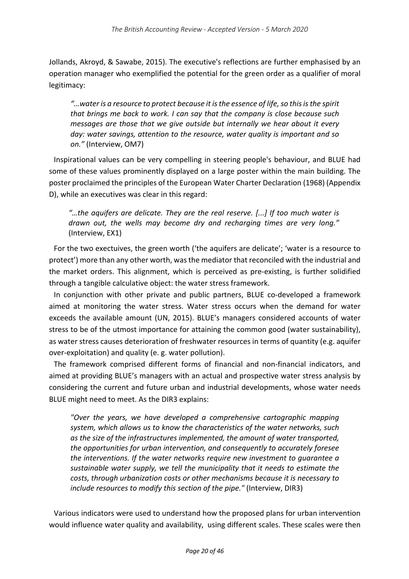Jollands, Akroyd, & Sawabe, 2015). The executive's reflections are further emphasised by an operation manager who exemplified the potential for the green order as a qualifier of moral legitimacy:

*"…water is a resource to protect because it is the essence of life, so this is the spirit that brings me back to work. I can say that the company is close because such messages are those that we give outside but internally we hear about it every day: water savings, attention to the resource, water quality is important and so on."* (Interview, OM7)

Inspirational values can be very compelling in steering people's behaviour, and BLUE had some of these values prominently displayed on a large poster within the main building. The poster proclaimed the principles of the European Water Charter Declaration (1968) (Appendix D), while an executives was clear in this regard:

*"…the aquifers are delicate. They are the real reserve. [...] If too much water is drawn out, the wells may become dry and recharging times are very long."*  (Interview, EX1)

For the two exectuives, the green worth ('the aquifers are delicate'; 'water is a resource to protect') more than any other worth, was the mediator that reconciled with the industrial and the market orders. This alignment, which is perceived as pre-existing, is further solidified through a tangible calculative object: the water stress framework.

In conjunction with other private and public partners, BLUE co-developed a framework aimed at monitoring the water stress. Water stress occurs when the demand for water exceeds the available amount (UN, 2015). BLUE's managers considered accounts of water stress to be of the utmost importance for attaining the common good (water sustainability), as water stress causes deterioration of freshwater resources in terms of quantity (e.g. aquifer over-exploitation) and quality (e. g. water pollution).

The framework comprised different forms of financial and non-financial indicators, and aimed at providing BLUE's managers with an actual and prospective water stress analysis by considering the current and future urban and industrial developments, whose water needs BLUE might need to meet. As the DIR3 explains:

*"Over the years, we have developed a comprehensive cartographic mapping system, which allows us to know the characteristics of the water networks, such as the size of the infrastructures implemented, the amount of water transported, the opportunities for urban intervention, and consequently to accurately foresee the interventions. If the water networks require new investment to guarantee a sustainable water supply, we tell the municipality that it needs to estimate the costs, through urbanization costs or other mechanisms because it is necessary to include resources to modify this section of the pipe."* (Interview, DIR3)

Various indicators were used to understand how the proposed plans for urban intervention would influence water quality and availability, using different scales. These scales were then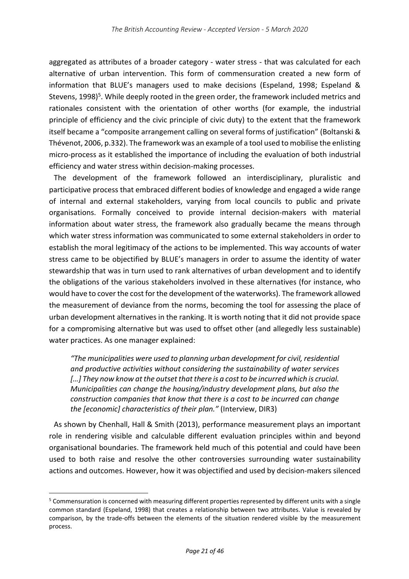aggregated as attributes of a broader category - water stress - that was calculated for each alternative of urban intervention. This form of commensuration created a new form of information that BLUE's managers used to make decisions (Espeland, 1998; Espeland & Stevens, 1998)<sup>5</sup>. While deeply rooted in the green order, the framework included metrics and rationales consistent with the orientation of other worths (for example, the industrial principle of efficiency and the civic principle of civic duty) to the extent that the framework itself became a "composite arrangement calling on several forms of justification" (Boltanski & Thévenot, 2006, p.332). The framework was an example of a tool used to mobilise the enlisting micro-process as it established the importance of including the evaluation of both industrial efficiency and water stress within decision-making processes.

The development of the framework followed an interdisciplinary, pluralistic and participative process that embraced different bodies of knowledge and engaged a wide range of internal and external stakeholders, varying from local councils to public and private organisations. Formally conceived to provide internal decision-makers with material information about water stress, the framework also gradually became the means through which water stress information was communicated to some external stakeholders in order to establish the moral legitimacy of the actions to be implemented. This way accounts of water stress came to be objectified by BLUE's managers in order to assume the identity of water stewardship that was in turn used to rank alternatives of urban development and to identify the obligations of the various stakeholders involved in these alternatives (for instance, who would have to cover the cost for the development of the waterworks). The framework allowed the measurement of deviance from the norms, becoming the tool for assessing the place of urban development alternatives in the ranking. It is worth noting that it did not provide space for a compromising alternative but was used to offset other (and allegedly less sustainable) water practices. As one manager explained:

*"The municipalities were used to planning urban development for civil, residential and productive activities without considering the sustainability of water services […] They now know at the outset that there is a cost to be incurred which is crucial. Municipalities can change the housing/industry development plans, but also the construction companies that know that there is a cost to be incurred can change the [economic] characteristics of their plan."* (Interview, DIR3)

As shown by Chenhall, Hall & Smith (2013), performance measurement plays an important role in rendering visible and calculable different evaluation principles within and beyond organisational boundaries. The framework held much of this potential and could have been used to both raise and resolve the other controversies surrounding water sustainability actions and outcomes. However, how it was objectified and used by decision-makers silenced

<sup>5</sup> Commensuration is concerned with measuring different properties represented by different units with a single common standard (Espeland, 1998) that creates a relationship between two attributes. Value is revealed by comparison, by the trade-offs between the elements of the situation rendered visible by the measurement process.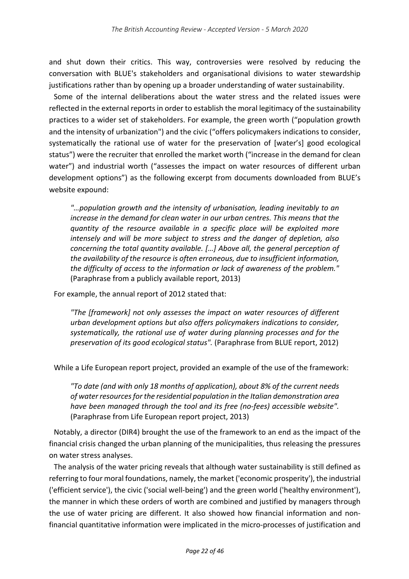and shut down their critics. This way, controversies were resolved by reducing the conversation with BLUE's stakeholders and organisational divisions to water stewardship justifications rather than by opening up a broader understanding of water sustainability.

Some of the internal deliberations about the water stress and the related issues were reflected in the external reports in order to establish the moral legitimacy of the sustainability practices to a wider set of stakeholders. For example, the green worth ("population growth and the intensity of urbanization") and the civic ("offers policymakers indications to consider, systematically the rational use of water for the preservation of [water's] good ecological status") were the recruiter that enrolled the market worth ("increase in the demand for clean water") and industrial worth ("assesses the impact on water resources of different urban development options") as the following excerpt from documents downloaded from BLUE's website expound:

*"…population growth and the intensity of urbanisation, leading inevitably to an increase in the demand for clean water in our urban centres. This means that the quantity of the resource available in a specific place will be exploited more intensely and will be more subject to stress and the danger of depletion, also concerning the total quantity available. […] Above all, the general perception of the availability of the resource is often erroneous, due to insufficient information, the difficulty of access to the information or lack of awareness of the problem."*  (Paraphrase from a publicly available report, 2013)

For example, the annual report of 2012 stated that:

*"The [framework] not only assesses the impact on water resources of different urban development options but also offers policymakers indications to consider, systematically, the rational use of water during planning processes and for the preservation of its good ecological status".* (Paraphrase from BLUE report, 2012)

While a Life European report project, provided an example of the use of the framework:

*"To date (and with only 18 months of application), about 8% of the current needs of water resources for the residential population in the Italian demonstration area have been managed through the tool and its free (no-fees) accessible website".*  (Paraphrase from Life European report project, 2013)

Notably, a director (DIR4) brought the use of the framework to an end as the impact of the financial crisis changed the urban planning of the municipalities, thus releasing the pressures on water stress analyses.

The analysis of the water pricing reveals that although water sustainability is still defined as referring to four moral foundations, namely, the market ('economic prosperity'), the industrial ('efficient service'), the civic ('social well-being') and the green world ('healthy environment'), the manner in which these orders of worth are combined and justified by managers through the use of water pricing are different. It also showed how financial information and nonfinancial quantitative information were implicated in the micro-processes of justification and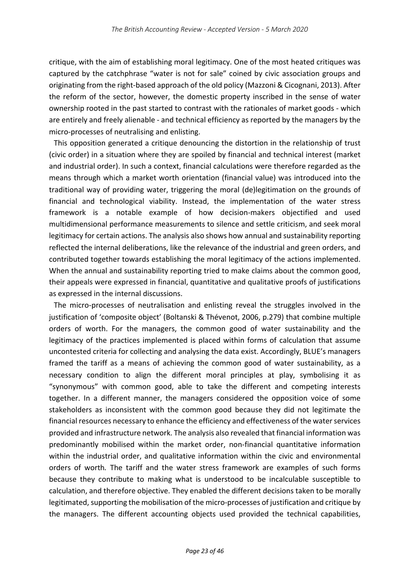critique, with the aim of establishing moral legitimacy. One of the most heated critiques was captured by the catchphrase "water is not for sale" coined by civic association groups and originating from the right-based approach of the old policy (Mazzoni & Cicognani, 2013). After the reform of the sector, however, the domestic property inscribed in the sense of water ownership rooted in the past started to contrast with the rationales of market goods - which are entirely and freely alienable - and technical efficiency as reported by the managers by the micro-processes of neutralising and enlisting.

This opposition generated a critique denouncing the distortion in the relationship of trust (civic order) in a situation where they are spoiled by financial and technical interest (market and industrial order). In such a context, financial calculations were therefore regarded as the means through which a market worth orientation (financial value) was introduced into the traditional way of providing water, triggering the moral (de)legitimation on the grounds of financial and technological viability. Instead, the implementation of the water stress framework is a notable example of how decision-makers objectified and used multidimensional performance measurements to silence and settle criticism, and seek moral legitimacy for certain actions. The analysis also shows how annual and sustainability reporting reflected the internal deliberations, like the relevance of the industrial and green orders, and contributed together towards establishing the moral legitimacy of the actions implemented. When the annual and sustainability reporting tried to make claims about the common good, their appeals were expressed in financial, quantitative and qualitative proofs of justifications as expressed in the internal discussions.

The micro-processes of neutralisation and enlisting reveal the struggles involved in the justification of 'composite object' (Boltanski & Thévenot, 2006, p.279) that combine multiple orders of worth. For the managers, the common good of water sustainability and the legitimacy of the practices implemented is placed within forms of calculation that assume uncontested criteria for collecting and analysing the data exist. Accordingly, BLUE's managers framed the tariff as a means of achieving the common good of water sustainability, as a necessary condition to align the different moral principles at play, symbolising it as "synonymous" with common good, able to take the different and competing interests together. In a different manner, the managers considered the opposition voice of some stakeholders as inconsistent with the common good because they did not legitimate the financial resources necessary to enhance the efficiency and effectiveness of the water services provided and infrastructure network. The analysis also revealed that financial information was predominantly mobilised within the market order, non-financial quantitative information within the industrial order, and qualitative information within the civic and environmental orders of worth*.* The tariff and the water stress framework are examples of such forms because they contribute to making what is understood to be incalculable susceptible to calculation, and therefore objective. They enabled the different decisions taken to be morally legitimated, supporting the mobilisation of the micro-processes of justification and critique by the managers. The different accounting objects used provided the technical capabilities,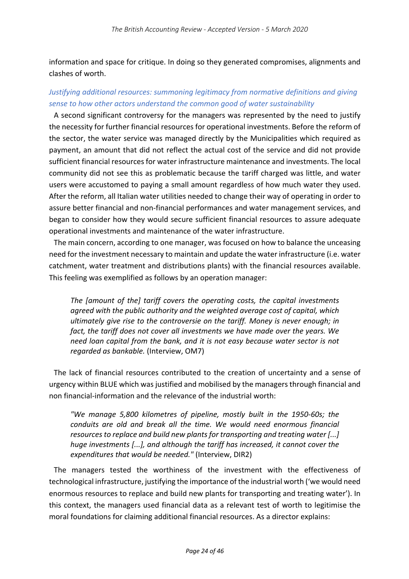information and space for critique. In doing so they generated compromises, alignments and clashes of worth.

# *Justifying additional resources: summoning legitimacy from normative definitions and giving sense to how other actors understand the common good of water sustainability*

A second significant controversy for the managers was represented by the need to justify the necessity for further financial resources for operational investments. Before the reform of the sector, the water service was managed directly by the Municipalities which required as payment, an amount that did not reflect the actual cost of the service and did not provide sufficient financial resources for water infrastructure maintenance and investments. The local community did not see this as problematic because the tariff charged was little, and water users were accustomed to paying a small amount regardless of how much water they used. After the reform, all Italian water utilities needed to change their way of operating in order to assure better financial and non-financial performances and water management services, and began to consider how they would secure sufficient financial resources to assure adequate operational investments and maintenance of the water infrastructure.

The main concern, according to one manager, was focused on how to balance the unceasing need for the investment necessary to maintain and update the water infrastructure (i.e. water catchment, water treatment and distributions plants) with the financial resources available. This feeling was exemplified as follows by an operation manager:

*The [amount of the] tariff covers the operating costs, the capital investments agreed with the public authority and the weighted average cost of capital, which ultimately give rise to the controversie on the tariff. Money is never enough; in fact, the tariff does not cover all investments we have made over the years. We need loan capital from the bank, and it is not easy because water sector is not regarded as bankable.* (Interview, OM7)

The lack of financial resources contributed to the creation of uncertainty and a sense of urgency within BLUE which was justified and mobilised by the managers through financial and non financial-information and the relevance of the industrial worth:

*"We manage 5,800 kilometres of pipeline, mostly built in the 1950-60s; the conduits are old and break all the time. We would need enormous financial resources to replace and build new plants for transporting and treating water [...] huge investments [...], and although the tariff has increased, it cannot cover the expenditures that would be needed."* (Interview, DIR2)

The managers tested the worthiness of the investment with the effectiveness of technological infrastructure, justifying the importance of the industrial worth ('we would need enormous resources to replace and build new plants for transporting and treating water'). In this context, the managers used financial data as a relevant test of worth to legitimise the moral foundations for claiming additional financial resources. As a director explains: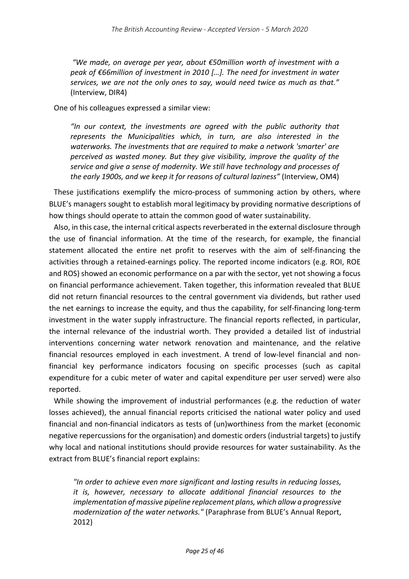*"We made, on average per year, about €50million worth of investment with a peak of €66million of investment in 2010 […]. The need for investment in water services, we are not the only ones to say, would need twice as much as that."*  (Interview, DIR4)

One of his colleagues expressed a similar view:

*"In our context, the investments are agreed with the public authority that represents the Municipalities which, in turn, are also interested in the waterworks. The investments that are required to make a network 'smarter' are perceived as wasted money. But they give visibility, improve the quality of the service and give a sense of modernity. We still have technology and processes of the early 1900s, and we keep it for reasons of cultural laziness"* (Interview, OM4)

These justifications exemplify the micro-process of summoning action by others, where BLUE's managers sought to establish moral legitimacy by providing normative descriptions of how things should operate to attain the common good of water sustainability.

Also, in this case, the internal critical aspects reverberated in the external disclosure through the use of financial information. At the time of the research, for example, the financial statement allocated the entire net profit to reserves with the aim of self-financing the activities through a retained-earnings policy. The reported income indicators (e.g. ROI, ROE and ROS) showed an economic performance on a par with the sector, yet not showing a focus on financial performance achievement. Taken together, this information revealed that BLUE did not return financial resources to the central government via dividends, but rather used the net earnings to increase the equity, and thus the capability, for self-financing long-term investment in the water supply infrastructure. The financial reports reflected, in particular, the internal relevance of the industrial worth. They provided a detailed list of industrial interventions concerning water network renovation and maintenance, and the relative financial resources employed in each investment. A trend of low-level financial and nonfinancial key performance indicators focusing on specific processes (such as capital expenditure for a cubic meter of water and capital expenditure per user served) were also reported.

While showing the improvement of industrial performances (e.g. the reduction of water losses achieved), the annual financial reports criticised the national water policy and used financial and non-financial indicators as tests of (un)worthiness from the market (economic negative repercussions for the organisation) and domestic orders (industrial targets) to justify why local and national institutions should provide resources for water sustainability. As the extract from BLUE's financial report explains:

*"In order to achieve even more significant and lasting results in reducing losses, it is, however, necessary to allocate additional financial resources to the implementation of massive pipeline replacement plans, which allow a progressive modernization of the water networks."* (Paraphrase from BLUE's Annual Report, 2012)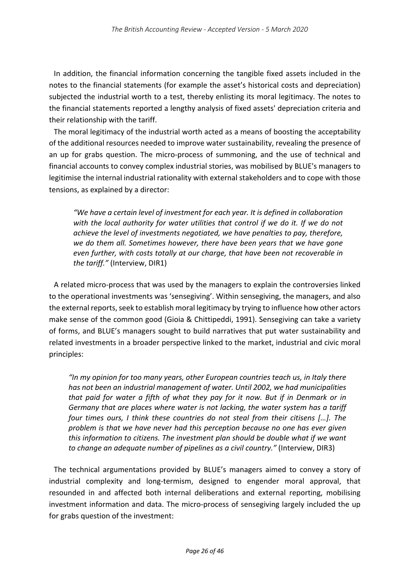In addition, the financial information concerning the tangible fixed assets included in the notes to the financial statements (for example the asset's historical costs and depreciation) subjected the industrial worth to a test, thereby enlisting its moral legitimacy. The notes to the financial statements reported a lengthy analysis of fixed assets' depreciation criteria and their relationship with the tariff.

The moral legitimacy of the industrial worth acted as a means of boosting the acceptability of the additional resources needed to improve water sustainability, revealing the presence of an up for grabs question. The micro-process of summoning, and the use of technical and financial accounts to convey complex industrial stories, was mobilised by BLUE's managers to legitimise the internal industrial rationality with external stakeholders and to cope with those tensions, as explained by a director:

*"We have a certain level of investment for each year. It is defined in collaboration with the local authority for water utilities that control if we do it. If we do not achieve the level of investments negotiated, we have penalties to pay, therefore, we do them all. Sometimes however, there have been years that we have gone even further, with costs totally at our charge, that have been not recoverable in the tariff."* (Interview, DIR1)

A related micro-process that was used by the managers to explain the controversies linked to the operational investments was 'sensegiving'. Within sensegiving, the managers, and also the external reports, seek to establish moral legitimacy by trying to influence how other actors make sense of the common good (Gioia & Chittipeddi, 1991). Sensegiving can take a variety of forms, and BLUE's managers sought to build narratives that put water sustainability and related investments in a broader perspective linked to the market, industrial and civic moral principles:

*"In my opinion for too many years, other European countries teach us, in Italy there has not been an industrial management of water. Until 2002, we had municipalities that paid for water a fifth of what they pay for it now. But if in Denmark or in Germany that are places where water is not lacking, the water system has a tariff four times ours, I think these countries do not steal from their citisens […]. The problem is that we have never had this perception because no one has ever given this information to citizens. The investment plan should be double what if we want to change an adequate number of pipelines as a civil country."* (Interview, DIR3)

The technical argumentations provided by BLUE's managers aimed to convey a story of industrial complexity and long-termism, designed to engender moral approval, that resounded in and affected both internal deliberations and external reporting, mobilising investment information and data. The micro-process of sensegiving largely included the up for grabs question of the investment: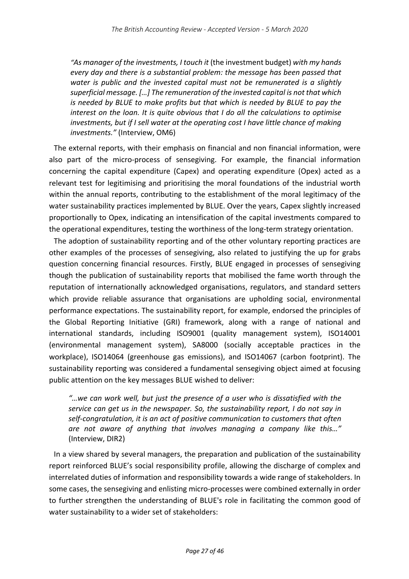*"As manager of the investments, I touch it* (the investment budget) *with my hands every day and there is a substantial problem: the message has been passed that water is public and the invested capital must not be remunerated is a slightly superficial message. […] The remuneration of the invested capital is not that which is needed by BLUE to make profits but that which is needed by BLUE to pay the interest on the loan. It is quite obvious that I do all the calculations to optimise investments, but if I sell water at the operating cost I have little chance of making investments."* (Interview, OM6)

The external reports, with their emphasis on financial and non financial information, were also part of the micro-process of sensegiving. For example, the financial information concerning the capital expenditure (Capex) and operating expenditure (Opex) acted as a relevant test for legitimising and prioritising the moral foundations of the industrial worth within the annual reports, contributing to the establishment of the moral legitimacy of the water sustainability practices implemented by BLUE. Over the years, Capex slightly increased proportionally to Opex, indicating an intensification of the capital investments compared to the operational expenditures, testing the worthiness of the long-term strategy orientation.

The adoption of sustainability reporting and of the other voluntary reporting practices are other examples of the processes of sensegiving, also related to justifying the up for grabs question concerning financial resources. Firstly, BLUE engaged in processes of sensegiving though the publication of sustainability reports that mobilised the fame worth through the reputation of internationally acknowledged organisations, regulators, and standard setters which provide reliable assurance that organisations are upholding social, environmental performance expectations. The sustainability report, for example, endorsed the principles of the Global Reporting Initiative (GRI) framework, along with a range of national and international standards, including ISO9001 (quality management system), ISO14001 (environmental management system), SA8000 (socially acceptable practices in the workplace), ISO14064 (greenhouse gas emissions), and ISO14067 (carbon footprint). The sustainability reporting was considered a fundamental sensegiving object aimed at focusing public attention on the key messages BLUE wished to deliver:

*"…we can work well, but just the presence of a user who is dissatisfied with the service can get us in the newspaper. So, the sustainability report, I do not say in self-congratulation, it is an act of positive communication to customers that often are not aware of anything that involves managing a company like this…"*  (Interview, DIR2)

In a view shared by several managers, the preparation and publication of the sustainability report reinforced BLUE's social responsibility profile, allowing the discharge of complex and interrelated duties of information and responsibility towards a wide range of stakeholders. In some cases, the sensegiving and enlisting micro-processes were combined externally in order to further strengthen the understanding of BLUE's role in facilitating the common good of water sustainability to a wider set of stakeholders: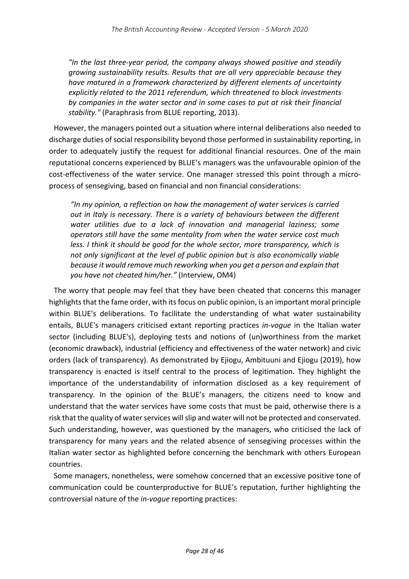*"In the last three-year period, the company always showed positive and steadily growing sustainability results. Results that are all very appreciable because they have matured in a framework characterized by different elements of uncertainty explicitly related to the 2011 referendum, which threatened to block investments by companies in the water sector and in some cases to put at risk their financial stability."* (Paraphrasis from BLUE reporting, 2013).

However, the managers pointed out a situation where internal deliberations also needed to discharge duties of social responsibility beyond those performed in sustainability reporting, in order to adequately justify the request for additional financial resources. One of the main reputational concerns experienced by BLUE's managers was the unfavourable opinion of the cost-effectiveness of the water service. One manager stressed this point through a microprocess of sensegiving, based on financial and non financial considerations:

*"In my opinion, a reflection on how the management of water services is carried out in Italy is necessary. There is a variety of behaviours between the different water utilities due to a lack of innovation and managerial laziness; some operators still have the same mentality from when the water service cost much less. I think it should be good for the whole sector, more transparency, which is not only significant at the level of public opinion but is also economically viable because it would remove much reworking when you get a person and explain that you have not cheated him/her."* (Interview, OM4)

The worry that people may feel that they have been cheated that concerns this manager highlights that the fame order, with its focus on public opinion, is an important moral principle within BLUE's deliberations. To facilitate the understanding of what water sustainability entails, BLUE's managers criticised extant reporting practices *in-vogue* in the Italian water sector (including BLUE's), deploying tests and notions of (un)worthiness from the market (economic drawback), industrial (efficiency and effectiveness of the water network) and civic orders (lack of transparency). As demonstrated by Ejiogu, Ambituuni and Ejiogu (2019), how transparency is enacted is itself central to the process of legitimation. They highlight the importance of the understandability of information disclosed as a key requirement of transparency. In the opinion of the BLUE's managers, the citizens need to know and understand that the water services have some costs that must be paid, otherwise there is a risk that the quality of water services will slip and water will not be protected and conservated. Such understanding, however, was questioned by the managers, who criticised the lack of transparency for many years and the related absence of sensegiving processes within the Italian water sector as highlighted before concerning the benchmark with others European countries.

Some managers, nonetheless, were somehow concerned that an excessive positive tone of communication could be counterproductive for BLUE's reputation, further highlighting the controversial nature of the *in-vogue* reporting practices: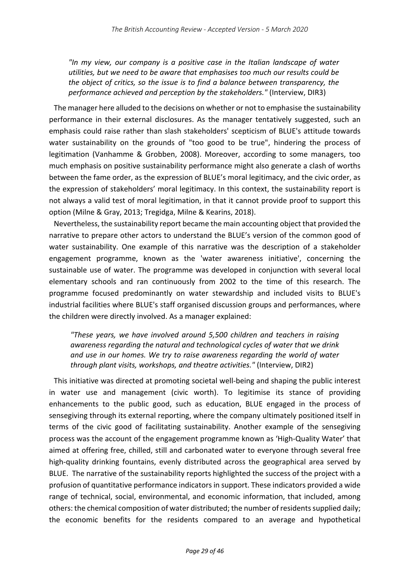*"In my view, our company is a positive case in the Italian landscape of water utilities, but we need to be aware that emphasises too much our results could be the object of critics, so the issue is to find a balance between transparency, the performance achieved and perception by the stakeholders."* (Interview, DIR3)

The manager here alluded to the decisions on whether or not to emphasise the sustainability performance in their external disclosures. As the manager tentatively suggested, such an emphasis could raise rather than slash stakeholders' scepticism of BLUE's attitude towards water sustainability on the grounds of "too good to be true", hindering the process of legitimation (Vanhamme & Grobben, 2008). Moreover, according to some managers, too much emphasis on positive sustainability performance might also generate a clash of worths between the fame order, as the expression of BLUE's moral legitimacy, and the civic order, as the expression of stakeholders' moral legitimacy. In this context, the sustainability report is not always a valid test of moral legitimation, in that it cannot provide proof to support this option (Milne & Gray, 2013; Tregidga, Milne & Kearins, 2018).

Nevertheless, the sustainability report became the main accounting object that provided the narrative to prepare other actors to understand the BLUE's version of the common good of water sustainability. One example of this narrative was the description of a stakeholder engagement programme, known as the 'water awareness initiative', concerning the sustainable use of water. The programme was developed in conjunction with several local elementary schools and ran continuously from 2002 to the time of this research. The programme focused predominantly on water stewardship and included visits to BLUE's industrial facilities where BLUE's staff organised discussion groups and performances, where the children were directly involved. As a manager explained:

*"These years, we have involved around 5,500 children and teachers in raising awareness regarding the natural and technological cycles of water that we drink and use in our homes. We try to raise awareness regarding the world of water through plant visits, workshops, and theatre activities."* (Interview, DIR2)

This initiative was directed at promoting societal well-being and shaping the public interest in water use and management (civic worth). To legitimise its stance of providing enhancements to the public good, such as education, BLUE engaged in the process of sensegiving through its external reporting, where the company ultimately positioned itself in terms of the civic good of facilitating sustainability. Another example of the sensegiving process was the account of the engagement programme known as 'High-Quality Water' that aimed at offering free, chilled, still and carbonated water to everyone through several free high-quality drinking fountains, evenly distributed across the geographical area served by BLUE. The narrative of the sustainability reports highlighted the success of the project with a profusion of quantitative performance indicators in support. These indicators provided a wide range of technical, social, environmental, and economic information, that included, among others: the chemical composition of water distributed; the number of residents supplied daily; the economic benefits for the residents compared to an average and hypothetical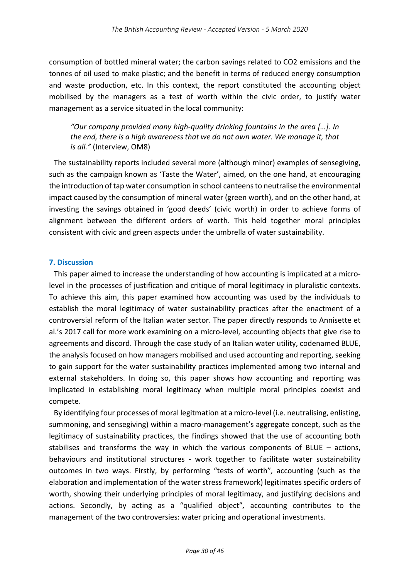consumption of bottled mineral water; the carbon savings related to CO2 emissions and the tonnes of oil used to make plastic; and the benefit in terms of reduced energy consumption and waste production, etc. In this context, the report constituted the accounting object mobilised by the managers as a test of worth within the civic order, to justify water management as a service situated in the local community:

*"Our company provided many high-quality drinking fountains in the area […]. In the end, there is a high awareness that we do not own water. We manage it, that is all."* (Interview, OM8)

The sustainability reports included several more (although minor) examples of sensegiving, such as the campaign known as 'Taste the Water', aimed, on the one hand, at encouraging the introduction of tap water consumption in school canteens to neutralise the environmental impact caused by the consumption of mineral water (green worth), and on the other hand, at investing the savings obtained in 'good deeds' (civic worth) in order to achieve forms of alignment between the different orders of worth. This held together moral principles consistent with civic and green aspects under the umbrella of water sustainability.

# **7. Discussion**

This paper aimed to increase the understanding of how accounting is implicated at a microlevel in the processes of justification and critique of moral legitimacy in pluralistic contexts. To achieve this aim, this paper examined how accounting was used by the individuals to establish the moral legitimacy of water sustainability practices after the enactment of a controversial reform of the Italian water sector. The paper directly responds to Annisette et al.'s 2017 call for more work examining on a micro-level, accounting objects that give rise to agreements and discord. Through the case study of an Italian water utility, codenamed BLUE, the analysis focused on how managers mobilised and used accounting and reporting, seeking to gain support for the water sustainability practices implemented among two internal and external stakeholders. In doing so, this paper shows how accounting and reporting was implicated in establishing moral legitimacy when multiple moral principles coexist and compete.

By identifying four processes of moral legitmation at a micro-level (i.e. neutralising, enlisting, summoning, and sensegiving) within a macro-management's aggregate concept, such as the legitimacy of sustainability practices, the findings showed that the use of accounting both stabilises and transforms the way in which the various components of BLUE – actions, behaviours and institutional structures - work together to facilitate water sustainability outcomes in two ways. Firstly, by performing "tests of worth"*,* accounting (such as the elaboration and implementation of the water stress framework) legitimates specific orders of worth, showing their underlying principles of moral legitimacy, and justifying decisions and actions. Secondly, by acting as a "qualified object"*,* accounting contributes to the management of the two controversies: water pricing and operational investments.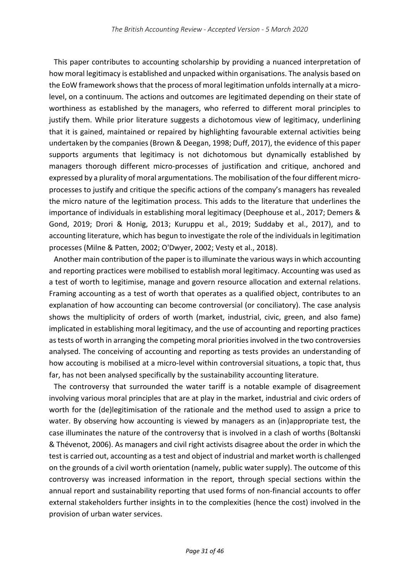This paper contributes to accounting scholarship by providing a nuanced interpretation of how moral legitimacy is established and unpacked within organisations. The analysis based on the EoW framework shows that the process of moral legitimation unfolds internally at a microlevel, on a continuum. The actions and outcomes are legitimated depending on their state of worthiness as established by the managers, who referred to different moral principles to justify them. While prior literature suggests a dichotomous view of legitimacy, underlining that it is gained, maintained or repaired by highlighting favourable external activities being undertaken by the companies (Brown & Deegan, 1998; Duff, 2017), the evidence of this paper supports arguments that legitimacy is not dichotomous but dynamically established by managers thorough different micro-processes of justification and critique, anchored and expressed by a plurality of moral argumentations. The mobilisation of the four different microprocesses to justify and critique the specific actions of the company's managers has revealed the micro nature of the legitimation process. This adds to the literature that underlines the importance of individuals in establishing moral legitimacy (Deephouse et al., 2017; Demers & Gond, 2019; Drori & Honig, 2013; Kuruppu et al., 2019; Suddaby et al., 2017), and to accounting literature, which has begun to investigate the role of the individuals in legitimation processes (Milne & Patten, 2002; O'Dwyer, 2002; Vesty et al., 2018).

Another main contribution of the paper is to illuminate the various ways in which accounting and reporting practices were mobilised to establish moral legitimacy. Accounting was used as a test of worth to legitimise, manage and govern resource allocation and external relations. Framing accounting as a test of worth that operates as a qualified object, contributes to an explanation of how accounting can become controversial (or conciliatory). The case analysis shows the multiplicity of orders of worth (market, industrial, civic, green, and also fame) implicated in establishing moral legitimacy, and the use of accounting and reporting practices as tests of worth in arranging the competing moral priorities involved in the two controversies analysed. The conceiving of accounting and reporting as tests provides an understanding of how accouting is mobilised at a micro-level within controversial situations, a topic that, thus far, has not been analysed specifically by the sustainability accounting literature.

The controversy that surrounded the water tariff is a notable example of disagreement involving various moral principles that are at play in the market, industrial and civic orders of worth for the (de)legitimisation of the rationale and the method used to assign a price to water. By observing how accounting is viewed by managers as an (in)appropriate test, the case illuminates the nature of the controversy that is involved in a clash of worths (Boltanski & Thévenot, 2006). As managers and civil right activists disagree about the order in which the test is carried out, accounting as a test and object of industrial and market worth is challenged on the grounds of a civil worth orientation (namely, public water supply). The outcome of this controversy was increased information in the report, through special sections within the annual report and sustainability reporting that used forms of non-financial accounts to offer external stakeholders further insights in to the complexities (hence the cost) involved in the provision of urban water services.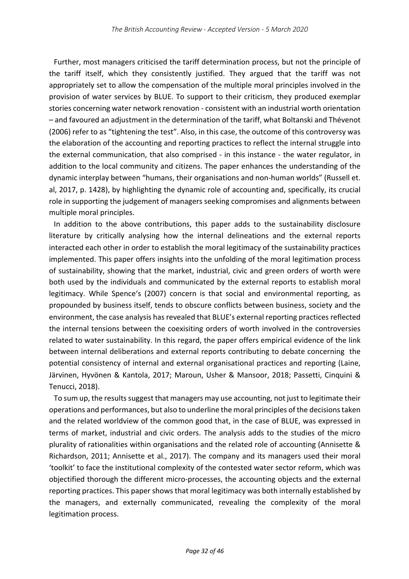Further, most managers criticised the tariff determination process, but not the principle of the tariff itself, which they consistently justified. They argued that the tariff was not appropriately set to allow the compensation of the multiple moral principles involved in the provision of water services by BLUE. To support to their criticism, they produced exemplar stories concerning water network renovation - consistent with an industrial worth orientation – and favoured an adjustment in the determination of the tariff, what Boltanski and Thévenot (2006) refer to as "tightening the test". Also, in this case, the outcome of this controversy was the elaboration of the accounting and reporting practices to reflect the internal struggle into the external communication, that also comprised - in this instance - the water regulator, in addition to the local community and citizens. The paper enhances the understanding of the dynamic interplay between "humans, their organisations and non-human worlds" (Russell et. al, 2017, p. 1428), by highlighting the dynamic role of accounting and, specifically, its crucial role in supporting the judgement of managers seeking compromises and alignments between multiple moral principles.

In addition to the above contributions, this paper adds to the sustainability disclosure literature by critically analysing how the internal delineations and the external reports interacted each other in order to establish the moral legitimacy of the sustainability practices implemented. This paper offers insights into the unfolding of the moral legitimation process of sustainability, showing that the market, industrial, civic and green orders of worth were both used by the individuals and communicated by the external reports to establish moral legitimacy. While Spence's (2007) concern is that social and environmental reporting, as propounded by business itself, tends to obscure conflicts between business, society and the environment, the case analysis has revealed that BLUE's external reporting practices reflected the internal tensions between the coexisiting orders of worth involved in the controversies related to water sustainability. In this regard, the paper offers empirical evidence of the link between internal deliberations and external reports contributing to debate concerning the potential consistency of internal and external organisational practices and reporting (Laine, Järvinen, Hyvönen & Kantola, 2017; Maroun, Usher & Mansoor, 2018; Passetti, Cinquini & Tenucci, 2018).

To sum up, the results suggest that managers may use accounting, not just to legitimate their operations and performances, but also to underline the moral principles of the decisions taken and the related worldview of the common good that, in the case of BLUE, was expressed in terms of market, industrial and civic orders. The analysis adds to the studies of the micro plurality of rationalities within organisations and the related role of accounting (Annisette & Richardson, 2011; Annisette et al., 2017). The company and its managers used their moral 'toolkit' to face the institutional complexity of the contested water sector reform, which was objectified thorough the different micro-processes, the accounting objects and the external reporting practices. This paper shows that moral legitimacy was both internally established by the managers, and externally communicated, revealing the complexity of the moral legitimation process.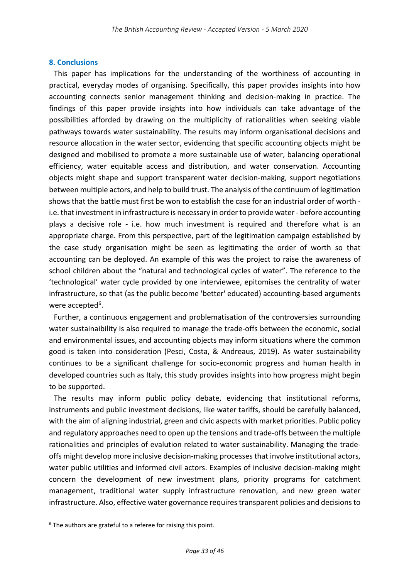# **8. Conclusions**

This paper has implications for the understanding of the worthiness of accounting in practical, everyday modes of organising. Specifically, this paper provides insights into how accounting connects senior management thinking and decision-making in practice. The findings of this paper provide insights into how individuals can take advantage of the possibilities afforded by drawing on the multiplicity of rationalities when seeking viable pathways towards water sustainability. The results may inform organisational decisions and resource allocation in the water sector, evidencing that specific accounting objects might be designed and mobilised to promote a more sustainable use of water, balancing operational efficiency, water equitable access and distribution, and water conservation. Accounting objects might shape and support transparent water decision-making, support negotiations between multiple actors, and help to build trust. The analysis of the continuum of legitimation shows that the battle must first be won to establish the case for an industrial order of worth i.e. that investment in infrastructure is necessary in order to provide water - before accounting plays a decisive role - i.e. how much investment is required and therefore what is an appropriate charge. From this perspective, part of the legitimation campaign established by the case study organisation might be seen as legitimating the order of worth so that accounting can be deployed. An example of this was the project to raise the awareness of school children about the "natural and technological cycles of water". The reference to the 'technological' water cycle provided by one interviewee, epitomises the centrality of water infrastructure, so that (as the public become 'better' educated) accounting-based arguments were accepted<sup>6</sup>.

Further, a continuous engagement and problematisation of the controversies surrounding water sustainaibility is also required to manage the trade-offs between the economic, social and environmental issues, and accounting objects may inform situations where the common good is taken into consideration (Pesci, Costa, & Andreaus, 2019). As water sustainability continues to be a significant challenge for socio-economic progress and human health in developed countries such as Italy, this study provides insights into how progress might begin to be supported.

The results may inform public policy debate, evidencing that institutional reforms, instruments and public investment decisions, like water tariffs, should be carefully balanced, with the aim of aligning industrial, green and civic aspects with market priorities. Public policy and regulatory approaches need to open up the tensions and trade-offs between the multiple rationalities and principles of evalution related to water sustainability. Managing the tradeoffs might develop more inclusive decision-making processes that involve institutional actors, water public utilities and informed civil actors. Examples of inclusive decision-making might concern the development of new investment plans, priority programs for catchment management, traditional water supply infrastructure renovation, and new green water infrastructure. Also, effective water governance requires transparent policies and decisions to

 $6$  The authors are grateful to a referee for raising this point.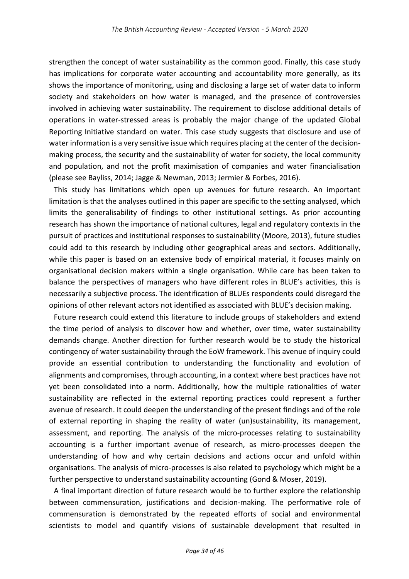strengthen the concept of water sustainability as the common good. Finally, this case study has implications for corporate water accounting and accountability more generally, as its shows the importance of monitoring, using and disclosing a large set of water data to inform society and stakeholders on how water is managed, and the presence of controversies involved in achieving water sustainability. The requirement to disclose additional details of operations in water-stressed areas is probably the major change of the updated Global Reporting Initiative standard on water. This case study suggests that disclosure and use of water information is a very sensitive issue which requires placing at the center of the decisionmaking process, the security and the sustainability of water for society, the local community and population, and not the profit maximisation of companies and water financialisation (please see Bayliss, 2014; Jagge & Newman, 2013; Jermier & Forbes, 2016).

This study has limitations which open up avenues for future research. An important limitation is that the analyses outlined in this paper are specific to the setting analysed, which limits the generalisability of findings to other institutional settings. As prior accounting research has shown the importance of national cultures, legal and regulatory contexts in the pursuit of practices and institutional responses to sustainability (Moore, 2013), future studies could add to this research by including other geographical areas and sectors. Additionally, while this paper is based on an extensive body of empirical material, it focuses mainly on organisational decision makers within a single organisation. While care has been taken to balance the perspectives of managers who have different roles in BLUE's activities, this is necessarily a subjective process. The identification of BLUEs respondents could disregard the opinions of other relevant actors not identified as associated with BLUE's decision making.

Future research could extend this literature to include groups of stakeholders and extend the time period of analysis to discover how and whether, over time, water sustainability demands change. Another direction for further research would be to study the historical contingency of water sustainability through the EoW framework. This avenue of inquiry could provide an essential contribution to understanding the functionality and evolution of alignments and compromises, through accounting, in a context where best practices have not yet been consolidated into a norm. Additionally, how the multiple rationalities of water sustainability are reflected in the external reporting practices could represent a further avenue of research. It could deepen the understanding of the present findings and of the role of external reporting in shaping the reality of water (un)sustainability, its management, assessment, and reporting. The analysis of the micro-processes relating to sustainability accounting is a further important avenue of research, as micro-processes deepen the understanding of how and why certain decisions and actions occur and unfold within organisations. The analysis of micro-processes is also related to psychology which might be a further perspective to understand sustainability accounting (Gond & Moser, 2019).

A final important direction of future research would be to further explore the relationship between commensuration, justifications and decision-making. The performative role of commensuration is demonstrated by the repeated efforts of social and environmental scientists to model and quantify visions of sustainable development that resulted in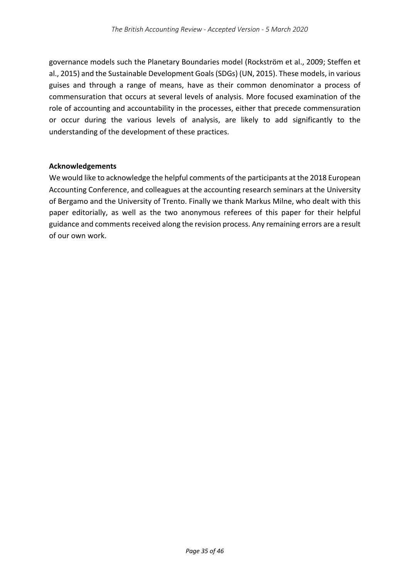governance models such the Planetary Boundaries model (Rockström et al., 2009; Steffen et al., 2015) and the Sustainable Development Goals (SDGs) (UN, 2015). These models, in various guises and through a range of means, have as their common denominator a process of commensuration that occurs at several levels of analysis. More focused examination of the role of accounting and accountability in the processes, either that precede commensuration or occur during the various levels of analysis, are likely to add significantly to the understanding of the development of these practices.

### **Acknowledgements**

We would like to acknowledge the helpful comments of the participants at the 2018 European Accounting Conference, and colleagues at the accounting research seminars at the University of Bergamo and the University of Trento. Finally we thank Markus Milne, who dealt with this paper editorially, as well as the two anonymous referees of this paper for their helpful guidance and comments received along the revision process. Any remaining errors are a result of our own work.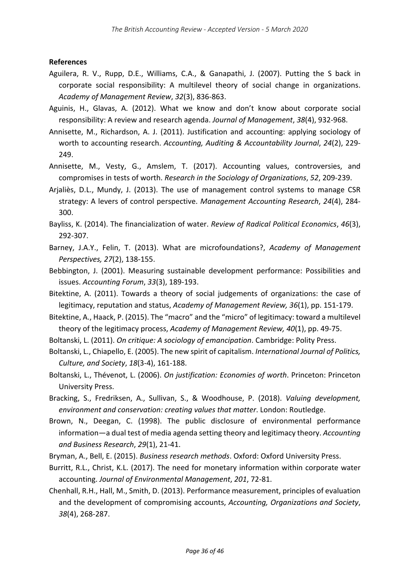## **References**

- Aguilera, R. V., Rupp, D.E., Williams, C.A., & Ganapathi, J. (2007). Putting the S back in corporate social responsibility: A multilevel theory of social change in organizations. *Academy of Management Review*, *32*(3), 836-863.
- Aguinis, H., Glavas, A. (2012). What we know and don't know about corporate social responsibility: A review and research agenda. *Journal of Management*, *38*(4), 932-968.
- Annisette, M., Richardson, A. J. (2011). Justification and accounting: applying sociology of worth to accounting research. *Accounting, Auditing & Accountability Journal*, *24*(2), 229- 249.
- Annisette, M., Vesty, G., Amslem, T. (2017). Accounting values, controversies, and compromises in tests of worth. *Research in the Sociology of Organizations*, *52*, 209-239.
- Arjaliès, D.L., Mundy, J. (2013). The use of management control systems to manage CSR strategy: A levers of control perspective. *Management Accounting Research*, *24*(4), 284- 300.
- Bayliss, K. (2014). The financialization of water. *Review of Radical Political Economics*, *46*(3), 292-307.
- Barney, J.A.Y., Felin, T. (2013). What are microfoundations?, *Academy of Management Perspectives, 27*(2), 138-155.
- Bebbington, J. (2001). Measuring sustainable development performance: Possibilities and issues. *Accounting Forum*, *33*(3), 189-193.
- Bitektine, A. (2011). Towards a theory of social judgements of organizations: the case of legitimacy, reputation and status, *Academy of Management Review, 36*(1), pp. 151-179.
- Bitektine, A., Haack, P. (2015). The "macro" and the "micro" of legitimacy: toward a multilevel theory of the legitimacy process, *Academy of Management Review, 40*(1), pp. 49-75.
- Boltanski, L. (2011). *On critique: A sociology of emancipation*. Cambridge: Polity Press.
- Boltanski, L., Chiapello, E. (2005). The new spirit of capitalism. *International Journal of Politics, Culture, and Society*, *18*(3-4), 161-188.
- Boltanski, L., Thévenot, L. (2006). *On justification: Economies of worth*. Princeton: Princeton University Press.
- Bracking, S., Fredriksen, A., Sullivan, S., & Woodhouse, P. (2018). *Valuing development, environment and conservation: creating values that matter*. London: Routledge.
- Brown, N., Deegan, C. (1998). The public disclosure of environmental performance information—a dual test of media agenda setting theory and legitimacy theory. *Accounting and Business Research*, *29*(1), 21-41.
- Bryman, A., Bell, E. (2015). *Business research methods*. Oxford: Oxford University Press.
- Burritt, R.L., Christ, K.L. (2017). The need for monetary information within corporate water accounting. *Journal of Environmental Management*, *201*, 72-81.
- Chenhall, R.H., Hall, M., Smith, D. (2013). Performance measurement, principles of evaluation and the development of compromising accounts, *Accounting, Organizations and Society*, *38*(4), 268-287.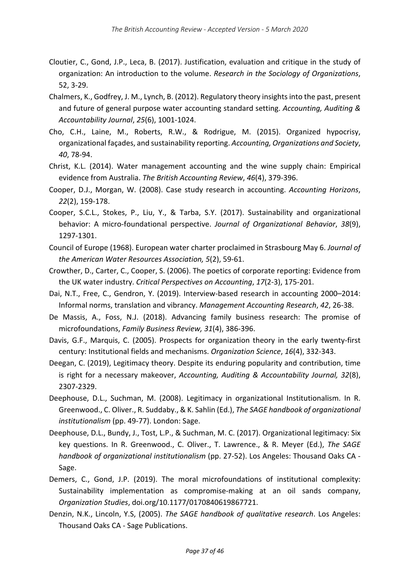- Cloutier, C., Gond, J.P., Leca, B. (2017). Justification, evaluation and critique in the study of organization: An introduction to the volume. *Research in the Sociology of Organizations*, 52, 3-29.
- Chalmers, K., Godfrey, J. M., Lynch, B. (2012). Regulatory theory insights into the past, present and future of general purpose water accounting standard setting. *Accounting, Auditing & Accountability Journal*, *25*(6), 1001-1024.
- Cho, C.H., Laine, M., Roberts, R.W., & Rodrigue, M. (2015). Organized hypocrisy, organizational façades, and sustainability reporting. *Accounting, Organizations and Society*, *40*, 78-94.
- Christ, K.L. (2014). Water management accounting and the wine supply chain: Empirical evidence from Australia. *The British Accounting Review*, *46*(4), 379-396.
- Cooper, D.J., Morgan, W. (2008). Case study research in accounting. *Accounting Horizons*, *22*(2), 159-178.
- Cooper, S.C.L., Stokes, P., Liu, Y., & Tarba, S.Y. (2017). Sustainability and organizational behavior: A micro-foundational perspective. *Journal of Organizational Behavior*, *38*(9), 1297-1301.
- Council of Europe (1968). European water charter proclaimed in Strasbourg May 6. *Journal of the American Water Resources Association, 5*(2), 59-61.
- Crowther, D., Carter, C., Cooper, S. (2006). The poetics of corporate reporting: Evidence from the UK water industry. *Critical Perspectives on Accounting*, *17*(2-3), 175-201.
- Dai, N.T., Free, C., Gendron, Y. (2019). Interview-based research in accounting 2000–2014: Informal norms, translation and vibrancy. *Management Accounting Research*, *42*, 26-38.
- De Massis, A., Foss, N.J. (2018). Advancing family business research: The promise of microfoundations, *Family Business Review, 31*(4), 386-396.
- Davis, G.F., Marquis, C. (2005). Prospects for organization theory in the early twenty-first century: Institutional fields and mechanisms. *Organization Science*, *16*(4), 332-343.
- Deegan, C. (2019), Legitimacy theory. Despite its enduring popularity and contribution, time is right for a necessary makeover, *Accounting, Auditing & Accountability Journal, 32*(8), 2307-2329.
- Deephouse, D.L., Suchman, M. (2008). Legitimacy in organizational Institutionalism. In R. Greenwood., C. Oliver., R. Suddaby., & K. Sahlin (Ed.), *The SAGE handbook of organizational institutionalism* (pp. 49-77). London: Sage.
- Deephouse, D.L., Bundy, J., Tost, L.P., & Suchman, M. C. (2017). Organizational legitimacy: Six key questions. In R. Greenwood., C. Oliver., T. Lawrence., & R. Meyer (Ed.), *The SAGE handbook of organizational institutionalism* (pp. 27-52). Los Angeles: Thousand Oaks CA - Sage.
- Demers, C., Gond, J.P. (2019). The moral microfoundations of institutional complexity: Sustainability implementation as compromise-making at an oil sands company, *Organization Studies*, doi.org/10.1177/0170840619867721.
- Denzin, N.K., Lincoln, Y.S, (2005). *The SAGE handbook of qualitative research*. Los Angeles: Thousand Oaks CA - Sage Publications.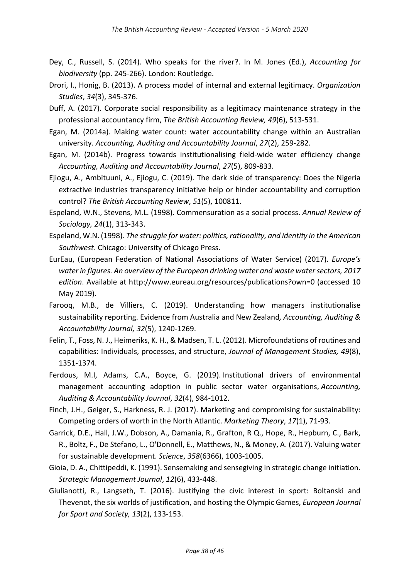- Dey, C., Russell, S. (2014). Who speaks for the river?. In M. Jones (Ed.), *Accounting for biodiversity* (pp. 245-266). London: Routledge.
- Drori, I., Honig, B. (2013). A process model of internal and external legitimacy. *Organization Studies*, *34*(3), 345-376.
- Duff, A. (2017). Corporate social responsibility as a legitimacy maintenance strategy in the professional accountancy firm, *The British Accounting Review, 49*(6), 513-531.
- Egan, M. (2014a). Making water count: water accountability change within an Australian university. *Accounting, Auditing and Accountability Journal*, *27*(2), 259-282.
- Egan, M. (2014b). Progress towards institutionalising field-wide water efficiency change *Accounting, Auditing and Accountability Journal*, *27*(5), 809-833.
- Ejiogu, A., Ambituuni, A., Ejiogu, C. (2019). The dark side of transparency: Does the Nigeria extractive industries transparency initiative help or hinder accountability and corruption control? *The British Accounting Review*, *51*(5), 100811.
- Espeland, W.N., Stevens, M.L. (1998). Commensuration as a social process. *Annual Review of Sociology, 24*(1), 313-343.
- Espeland, W.N. (1998). *The struggle for water: politics, rationality, and identity in the American Southwest*. Chicago: University of Chicago Press.
- EurEau, (European Federation of National Associations of Water Service) (2017). *Europe's water in figures. An overview of the European drinking water and waste water sectors, 2017 edition*. Available at http://www.eureau.org/resources/publications?own=0 (accessed 10 May 2019).
- Farooq, M.B., de Villiers, C. (2019). Understanding how managers institutionalise sustainability reporting. Evidence from Australia and New Zealand*, Accounting, Auditing & Accountability Journal, 32*(5), 1240-1269.
- Felin, T., Foss, N. J., Heimeriks, K. H., & Madsen, T. L. (2012). Microfoundations of routines and capabilities: Individuals, processes, and structure, *Journal of Management Studies, 49*(8), 1351-1374.
- Ferdous, M.I, Adams, C.A., Boyce, G. (2019). Institutional drivers of environmental management accounting adoption in public sector water organisations, *Accounting, Auditing & Accountability Journal*, *32*(4), 984-1012.
- Finch, J.H., Geiger, S., Harkness, R. J. (2017). Marketing and compromising for sustainability: Competing orders of worth in the North Atlantic. *Marketing Theory*, *17*(1), 71-93.
- Garrick, D.E., Hall, J.W., Dobson, A., Damania, R., Grafton, R Q., Hope, R., Hepburn, C., Bark, R., Boltz, F., De Stefano, L., O'Donnell, E., Matthews, N., & Money, A. (2017). Valuing water for sustainable development. *Science*, *358*(6366), 1003-1005.
- Gioia, D. A., Chittipeddi, K. (1991). Sensemaking and sensegiving in strategic change initiation. *Strategic Management Journal*, *12*(6), 433-448.
- Giulianotti, R., Langseth, T. (2016). Justifying the civic interest in sport: Boltanski and Thevenot, the six worlds of justification, and hosting the Olympic Games, *European Journal for Sport and Society, 13*(2), 133-153.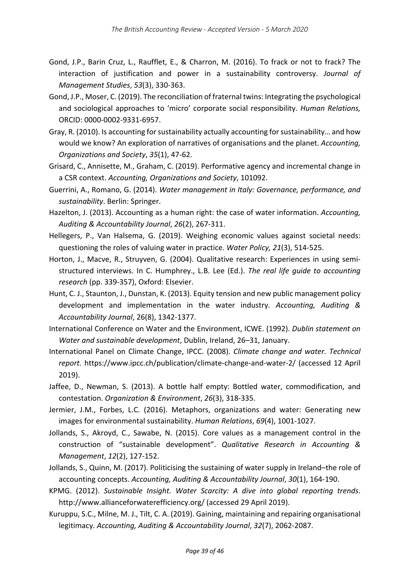- Gond, J.P., Barin Cruz, L., Raufflet, E., & Charron, M. (2016). To frack or not to frack? The interaction of justification and power in a sustainability controversy. *Journal of Management Studies*, *53*(3), 330-363.
- Gond, J.P., Moser, C. (2019). The reconciliation of fraternal twins: Integrating the psychological and sociological approaches to 'micro' corporate social responsibility. *Human Relations,* ORCID: 0000-0002-9331-6957.
- Gray, R. (2010). Is accounting for sustainability actually accounting for sustainability… and how would we know? An exploration of narratives of organisations and the planet. *Accounting, Organizations and Society*, *35*(1), 47-62.
- Grisard, C., Annisette, M., Graham, C. (2019). Performative agency and incremental change in a CSR context. *Accounting, Organizations and Society*, 101092.
- Guerrini, A., Romano, G. (2014). *Water management in Italy: Governance, performance, and sustainability*. Berlin: Springer.
- Hazelton, J. (2013). Accounting as a human right: the case of water information. *Accounting, Auditing & Accountability Journal*, *26*(2), 267-311.
- Hellegers, P., Van Halsema, G. (2019). Weighing economic values against societal needs: questioning the roles of valuing water in practice. *Water Policy, 21*(3), 514-525.
- Horton, J., Macve, R., Struyven, G. (2004). Qualitative research: Experiences in using semistructured interviews. In C. Humphrey., L.B. Lee (Ed.). *The real life guide to accounting research* (pp. 339-357), Oxford: Elsevier.
- Hunt, C. J., Staunton, J., Dunstan, K. (2013). Equity tension and new public management policy development and implementation in the water industry. *Accounting, Auditing & Accountability Journal*, 26(8), 1342-1377.
- International Conference on Water and the Environment, ICWE. (1992). *Dublin statement on Water and sustainable development*, Dublin, Ireland, 26–31, January.
- International Panel on Climate Change, IPCC. (2008). *Climate change and water. Technical report.* https://www.ipcc.ch/publication/climate-change-and-water-2/ (accessed 12 April 2019).
- Jaffee, D., Newman, S. (2013). A bottle half empty: Bottled water, commodification, and contestation. *Organization & Environment*, *26*(3), 318-335.
- Jermier, J.M., Forbes, L.C. (2016). Metaphors, organizations and water: Generating new images for environmental sustainability. *Human Relations*, *69*(4), 1001-1027.
- Jollands, S., Akroyd, C., Sawabe, N. (2015). Core values as a management control in the construction of "sustainable development". *Qualitative Research in Accounting & Management*, *12*(2), 127-152.
- Jollands, S., Quinn, M. (2017). Politicising the sustaining of water supply in Ireland–the role of accounting concepts. *Accounting, Auditing & Accountability Journal*, *30*(1), 164-190.
- KPMG. (2012). *Sustainable Insight. Water Scarcity: A dive into global reporting trends*. http://www.allianceforwaterefficiency.org/ (accessed 29 April 2019).
- Kuruppu, S.C., Milne, M. J., Tilt, C. A. (2019). Gaining, maintaining and repairing organisational legitimacy. *Accounting, Auditing & Accountability Journal*, *32*(7), 2062-2087.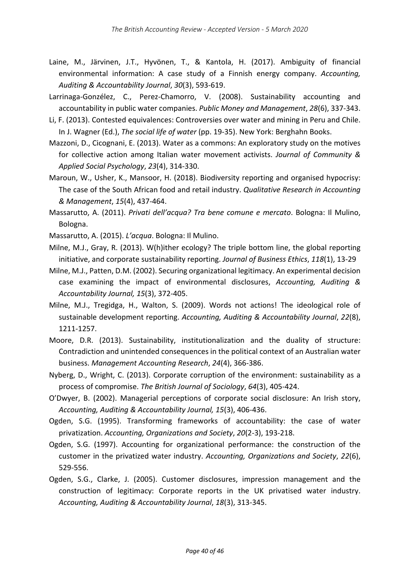- Laine, M., Järvinen, J.T., Hyvönen, T., & Kantola, H. (2017). Ambiguity of financial environmental information: A case study of a Finnish energy company. *Accounting, Auditing & Accountability Journal*, *30*(3), 593-619.
- Larrinaga-Gonzélez, C., Perez-Chamorro, V. (2008). Sustainability accounting and accountability in public water companies. *Public Money and Management*, *28*(6), 337-343.
- Li, F. (2013). Contested equivalences: Controversies over water and mining in Peru and Chile. In J. Wagner (Ed.), *The social life of water* (pp. 19-35). New York: Berghahn Books.
- Mazzoni, D., Cicognani, E. (2013). Water as a commons: An exploratory study on the motives for collective action among Italian water movement activists. *Journal of Community & Applied Social Psychology*, *23*(4), 314-330.
- Maroun, W., Usher, K., Mansoor, H. (2018). Biodiversity reporting and organised hypocrisy: The case of the South African food and retail industry. *Qualitative Research in Accounting & Management*, *15*(4), 437-464.

Massarutto, A. (2011). *Privati dell'acqua? Tra bene comune e mercato*. Bologna: Il Mulino, Bologna.

Massarutto, A. (2015). *L'acqua*. Bologna: Il Mulino.

Milne, M.J., Gray, R. (2013). W(h)ither ecology? The triple bottom line, the global reporting initiative, and corporate sustainability reporting. *Journal of Business Ethics*, *118*(1), 13-29

- Milne, M.J., Patten, D.M. (2002). Securing organizational legitimacy. An experimental decision case examining the impact of environmental disclosures, *Accounting, Auditing & Accountability Journal, 15*(3), 372-405.
- Milne, M.J., Tregidga, H., Walton, S. (2009). Words not actions! The ideological role of sustainable development reporting. *Accounting, Auditing & Accountability Journal*, *22*(8), 1211-1257.
- Moore, D.R. (2013). Sustainability, institutionalization and the duality of structure: Contradiction and unintended consequences in the political context of an Australian water business. *Management Accounting Research*, *24*(4), 366-386.
- Nyberg, D., Wright, C. (2013). Corporate corruption of the environment: sustainability as a process of compromise. *The British Journal of Sociology*, *64*(3), 405-424.
- O'Dwyer, B. (2002). Managerial perceptions of corporate social disclosure: An Irish story, *Accounting, Auditing & Accountability Journal, 15*(3), 406-436.
- Ogden, S.G. (1995). Transforming frameworks of accountability: the case of water privatization. *Accounting, Organizations and Society*, *20*(2-3), 193-218.
- Ogden, S.G. (1997). Accounting for organizational performance: the construction of the customer in the privatized water industry. *Accounting, Organizations and Society*, *22*(6), 529-556.
- Ogden, S.G., Clarke, J. (2005). Customer disclosures, impression management and the construction of legitimacy: Corporate reports in the UK privatised water industry. *Accounting, Auditing & Accountability Journal*, *18*(3), 313-345.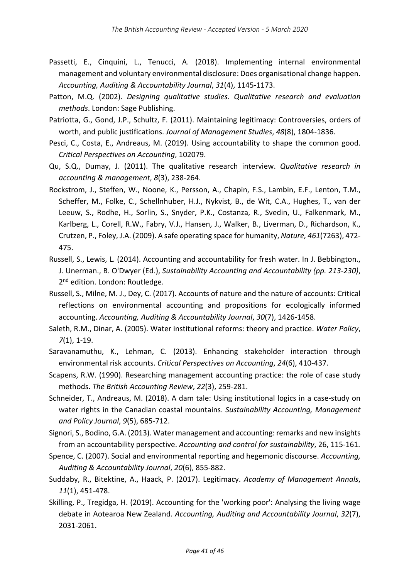- Passetti, E., Cinquini, L., Tenucci, A. (2018). Implementing internal environmental management and voluntary environmental disclosure: Does organisational change happen. *Accounting, Auditing & Accountability Journal*, *31*(4), 1145-1173.
- Patton, M.Q. (2002). *Designing qualitative studies. Qualitative research and evaluation methods*. London: Sage Publishing.
- Patriotta, G., Gond, J.P., Schultz, F. (2011). Maintaining legitimacy: Controversies, orders of worth, and public justifications. *Journal of Management Studies*, *48*(8), 1804-1836.
- Pesci, C., Costa, E., Andreaus, M. (2019). Using accountability to shape the common good. *Critical Perspectives on Accounting*, 102079.
- Qu, S.Q., Dumay, J. (2011). The qualitative research interview. *Qualitative research in accounting & management*, *8*(3), 238-264.
- Rockstrom, J., Steffen, W., Noone, K., Persson, A., Chapin, F.S., Lambin, E.F., Lenton, T.M., Scheffer, M., Folke, C., Schellnhuber, H.J., Nykvist, B., de Wit, C.A., Hughes, T., van der Leeuw, S., Rodhe, H., Sorlin, S., Snyder, P.K., Costanza, R., Svedin, U., Falkenmark, M., Karlberg, L., Corell, R.W., Fabry, V.J., Hansen, J., Walker, B., Liverman, D., Richardson, K., Crutzen, P., Foley, J.A. (2009). A safe operating space for humanity, *Nature, 461*(7263), 472- 475.
- Russell, S., Lewis, L. (2014). Accounting and accountability for fresh water. In J. Bebbington., J. Unerman., B. O'Dwyer (Ed.), *Sustainability Accounting and Accountability (pp. 213-230)*, 2<sup>nd</sup> edition. London: Routledge.
- Russell, S., Milne, M. J., Dey, C. (2017). Accounts of nature and the nature of accounts: Critical reflections on environmental accounting and propositions for ecologically informed accounting. *Accounting, Auditing & Accountability Journal*, *30*(7), 1426-1458.
- Saleth, R.M., Dinar, A. (2005). Water institutional reforms: theory and practice. *Water Policy*, *7*(1), 1-19.
- Saravanamuthu, K., Lehman, C. (2013). Enhancing stakeholder interaction through environmental risk accounts. *Critical Perspectives on Accounting*, *24*(6), 410-437.
- Scapens, R.W. (1990). Researching management accounting practice: the role of case study methods. *The British Accounting Review*, *22*(3), 259-281.
- Schneider, T., Andreaus, M. (2018). A dam tale: Using institutional logics in a case-study on water rights in the Canadian coastal mountains. *Sustainability Accounting, Management and Policy Journal*, *9*(5), 685-712.
- Signori, S., Bodino, G.A. (2013). Water management and accounting: remarks and new insights from an accountability perspective. *Accounting and control for sustainability*, 26, 115-161.
- Spence, C. (2007). Social and environmental reporting and hegemonic discourse. *Accounting, Auditing & Accountability Journal*, *20*(6), 855-882.
- Suddaby, R., Bitektine, A., Haack, P. (2017). Legitimacy. *Academy of Management Annals*, *11*(1), 451-478.
- Skilling, P., Tregidga, H. (2019). Accounting for the 'working poor': Analysing the living wage debate in Aotearoa New Zealand. *Accounting, Auditing and Accountability Journal*, *32*(7), 2031-2061.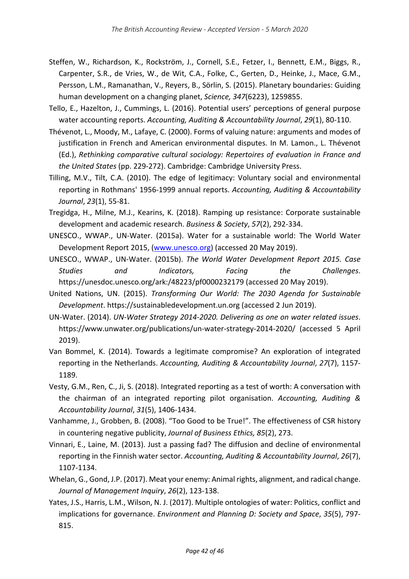- Steffen, W., Richardson, K., Rockström, J., Cornell, S.E., Fetzer, I., Bennett, E.M., Biggs, R., Carpenter, S.R., de Vries, W., de Wit, C.A., Folke, C., Gerten, D., Heinke, J., Mace, G.M., Persson, L.M., Ramanathan, V., Reyers, B., Sörlin, S. (2015). Planetary boundaries: Guiding human development on a changing planet, *Science, 347*(6223), 1259855.
- Tello, E., Hazelton, J., Cummings, L. (2016). Potential users' perceptions of general purpose water accounting reports. *Accounting, Auditing & Accountability Journal*, *29*(1), 80-110.
- Thévenot, L., Moody, M., Lafaye, C. (2000). Forms of valuing nature: arguments and modes of justification in French and American environmental disputes. In M. Lamon., L. Thévenot (Ed.), *Rethinking comparative cultural sociology: Repertoires of evaluation in France and the United States* (pp. 229-272). Cambridge: Cambridge University Press.
- Tilling, M.V., Tilt, C.A. (2010). The edge of legitimacy: Voluntary social and environmental reporting in Rothmans' 1956-1999 annual reports. *Accounting, Auditing & Accountability Journal*, *23*(1), 55-81.
- Tregidga, H., Milne, M.J., Kearins, K. (2018). Ramping up resistance: Corporate sustainable development and academic research. *Business & Society*, *57*(2), 292-334.
- UNESCO., WWAP., UN-Water. (2015a). Water for a sustainable world: The World Water Development Report 2015, (www.unesco.org) (accessed 20 May 2019).
- UNESCO., WWAP., UN-Water. (2015b). *The World Water Development Report 2015. Case Studies and Indicators, Facing the Challenges*. https://unesdoc.unesco.org/ark:/48223/pf0000232179 (accessed 20 May 2019).
- United Nations, UN. (2015). *Transforming Our World: The 2030 Agenda for Sustainable Development*. https://sustainabledevelopment.un.org (accessed 2 Jun 2019).
- UN-Water. (2014). *UN-Water Strategy 2014-2020. Delivering as one on water related issues*. https://www.unwater.org/publications/un-water-strategy-2014-2020/ (accessed 5 April 2019).
- Van Bommel, K. (2014). Towards a legitimate compromise? An exploration of integrated reporting in the Netherlands. *Accounting, Auditing & Accountability Journal*, *27*(7), 1157- 1189.
- Vesty, G.M., Ren, C., Ji, S. (2018). Integrated reporting as a test of worth: A conversation with the chairman of an integrated reporting pilot organisation. *Accounting, Auditing & Accountability Journal*, *31*(5), 1406-1434.
- Vanhamme, J., Grobben, B. (2008). "Too Good to be True!". The effectiveness of CSR history in countering negative publicity, *Journal of Business Ethics, 85*(2), 273.
- Vinnari, E., Laine, M. (2013). Just a passing fad? The diffusion and decline of environmental reporting in the Finnish water sector. *Accounting, Auditing & Accountability Journal*, *26*(7), 1107-1134.
- Whelan, G., Gond, J.P. (2017). Meat your enemy: Animal rights, alignment, and radical change. *Journal of Management Inquiry*, *26*(2), 123-138.
- Yates, J.S., Harris, L.M., Wilson, N. J. (2017). Multiple ontologies of water: Politics, conflict and implications for governance. *Environment and Planning D: Society and Space*, *35*(5), 797- 815.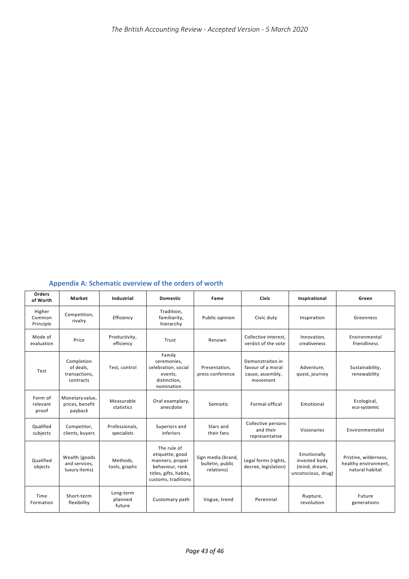# **Appendix A: Schematic overview of the orders of worth**

| Orders<br>of Worth            | Market                                                | Industrial                     | <b>Domestic</b>                                                                                                       | Fame                                                 | Civic                                                                 | Inspirational                                                       | Green                                                            |
|-------------------------------|-------------------------------------------------------|--------------------------------|-----------------------------------------------------------------------------------------------------------------------|------------------------------------------------------|-----------------------------------------------------------------------|---------------------------------------------------------------------|------------------------------------------------------------------|
| Higher<br>Common<br>Principle | Competition,<br>rivalry                               | Efficiency                     | Tradition,<br>familiarity,<br>hierarchy                                                                               | Public opinion                                       | Civic duty                                                            | Inspiration                                                         | Greenness                                                        |
| Mode of<br>evaluation         | Price                                                 | Productivity,<br>efficiency    | Trust                                                                                                                 | Renown                                               | Collective interest.<br>verdict of the vote                           | Innovation,<br>creativeness                                         | Environmental<br>friendliness                                    |
| Test                          | Completion<br>of deals,<br>transactions,<br>contracts | Test, control                  | Family<br>ceremonies,<br>celebration, social<br>events,<br>distinction,<br>nomination                                 | Presentation,<br>press conference                    | Demonstraiton in<br>favour of a moral<br>cause, assembly,<br>movement | Adventure,<br>quest, journey                                        | Sustainability,<br>renewability                                  |
| Form of<br>relevant<br>proof  | Monetary value,<br>prices, benefit<br>payback         | Measurable<br>statistics       | Oral examplary,<br>anecdote                                                                                           | Semiotic                                             | Formal offical                                                        | Emotional                                                           | Ecological,<br>eco-systemic                                      |
| Qualified<br>subjects         | Competitor,<br>clients, buyers                        | Professionals,<br>specialists  | Superiors and<br>inferiors                                                                                            | Stars and<br>their fans                              | Collective persons<br>and their<br>representative                     | Visionaries                                                         | Environmentalist                                                 |
| Qualified<br>objects          | Wealth (goods<br>and services,<br>luxury items)       | Methods,<br>tools, graphs      | The rule of<br>etiquette, good<br>manners, proper<br>behaviour, rank<br>titles, gifts, habits,<br>customs, traditions | Sign media (brand,<br>bulletin, public<br>relations) | Legal forms (rights,<br>decree, legislation)                          | Emotionally<br>invested body<br>(mind, dream,<br>unconscious, drug) | Pristine, wilderness,<br>healthy environment,<br>natural habitat |
| Time<br>Formation             | Short-term<br>flexibility                             | Long-term<br>planned<br>future | Customary path                                                                                                        | Vogue, trend                                         | Perennial                                                             | Rupture,<br>revolution                                              | Future<br>generations                                            |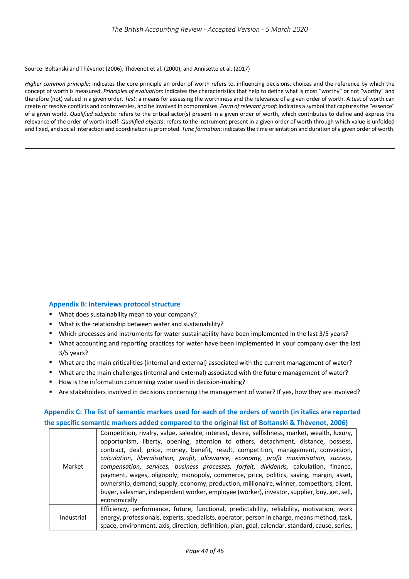Source: Boltanski and Thévenot (2006), Thévenot et al. (2000), and Annisette et al. (2017)

*Higher common principle*: indicates the core principle an order of worth refers to, influencing decisions, choices and the reference by which the concept of worth is measured. *Principles of evaluation*: indicates the characteristics that help to define what is most "worthy" or not "worthy" and therefore (not) valued in a given order. *Test*: a means for assessing the worthiness and the relevance of a given order of worth. A test of worth can create or resolve conflicts and controversies, and be involved in compromises. *Form of relevant proof*: indicates a symbol that captures the "essence" of a given world. *Qualified subjects*: refers to the critical actor(s) present in a given order of worth, which contributes to define and express the relevance of the order of worth itself. *Qualified objects*: refers to the instrument present in a given order of worth through which value is unfolded and fixed, and social interaction and coordination is promoted. *Time formation*: indicates the time orientation and duration of a given order of worth.

#### **Appendix B: Interviews protocol structure**

- What does sustainability mean to your company?
- What is the relationship between water and sustainability?
- § Which processes and instruments for water sustainability have been implemented in the last 3/5 years?
- § What accounting and reporting practices for water have been implemented in your company over the last 3/5 years?
- What are the main criticalities (internal and external) associated with the current management of water?
- § What are the main challenges (internal and external) associated with the future management of water?
- § How is the information concerning water used in decision-making?
- § Are stakeholders involved in decisions concerning the management of water? If yes, how they are involved?

### **Appendix C: The list of semantic markers used for each of the orders of worth (in italics are reported the specific semantic markers added compared to the original list of Boltanski & Thévenot, 2006)**

| Market     | Competition, rivalry, value, saleable, interest, desire, selfishness, market, wealth, luxury,<br>opportunism, liberty, opening, attention to others, detachment, distance, possess,<br>contract, deal, price, money, benefit, result, competition, management, conversion,<br>calculation, liberalisation, profit, allowance, economy, profit maximisation, success,<br>compensation, services, business processes, forfeit, dividends, calculation, finance,<br>payment, wages, oligopoly, monopoly, commerce, price, politics, saving, margin, asset,<br>ownership, demand, supply, economy, production, millionaire, winner, competitors, client,<br>buyer, salesman, independent worker, employee (worker), investor, supplier, buy, get, sell,<br>economically |
|------------|---------------------------------------------------------------------------------------------------------------------------------------------------------------------------------------------------------------------------------------------------------------------------------------------------------------------------------------------------------------------------------------------------------------------------------------------------------------------------------------------------------------------------------------------------------------------------------------------------------------------------------------------------------------------------------------------------------------------------------------------------------------------|
| Industrial | Efficiency, performance, future, functional, predictability, reliability, motivation, work<br>energy, professionals, experts, specialists, operator, person in charge, means method, task,<br>space, environment, axis, direction, definition, plan, goal, calendar, standard, cause, series,                                                                                                                                                                                                                                                                                                                                                                                                                                                                       |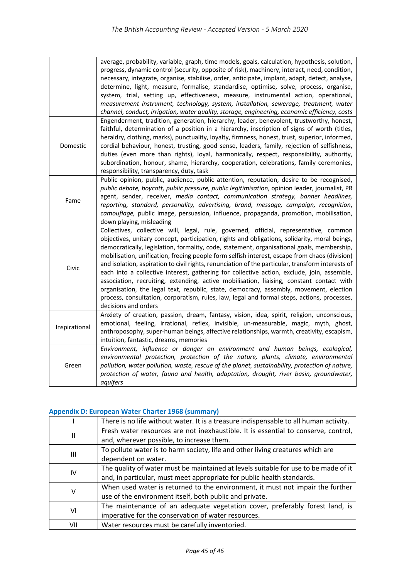|               | average, probability, variable, graph, time models, goals, calculation, hypothesis, solution,<br>progress, dynamic control (security, opposite of risk), machinery, interact, need, condition,<br>necessary, integrate, organise, stabilise, order, anticipate, implant, adapt, detect, analyse,<br>determine, light, measure, formalise, standardise, optimise, solve, process, organise,<br>system, trial, setting up, effectiveness, measure, instrumental action, operational,<br>measurement instrument, technology, system, installation, sewerage, treatment, water<br>channel, conduct, irrigation, water quality, storage, engineering, economic efficiency, costs                                                                                                                                                                                                                           |
|---------------|-------------------------------------------------------------------------------------------------------------------------------------------------------------------------------------------------------------------------------------------------------------------------------------------------------------------------------------------------------------------------------------------------------------------------------------------------------------------------------------------------------------------------------------------------------------------------------------------------------------------------------------------------------------------------------------------------------------------------------------------------------------------------------------------------------------------------------------------------------------------------------------------------------|
| Domestic      | Engenderment, tradition, generation, hierarchy, leader, benevolent, trustworthy, honest,<br>faithful, determination of a position in a hierarchy, inscription of signs of worth (titles,<br>heraldry, clothing, marks), punctuality, loyalty, firmness, honest, trust, superior, informed,<br>cordial behaviour, honest, trusting, good sense, leaders, family, rejection of selfishness,<br>duties (even more than rights), loyal, harmonically, respect, responsibility, authority,<br>subordination, honour, shame, hierarchy, cooperation, celebrations, family ceremonies,<br>responsibility, transparency, duty, task                                                                                                                                                                                                                                                                           |
| Fame          | Public opinion, public, audience, public attention, reputation, desire to be recognised,<br>public debate, boycott, public pressure, public legitimisation, opinion leader, journalist, PR<br>agent, sender, receiver, media contact, communication strategy, banner headlines,<br>reporting, standard, personality, advertising, brand, message, campaign, recognition,<br>camouflage, public image, persuasion, influence, propaganda, promotion, mobilisation,<br>down playing, misleading                                                                                                                                                                                                                                                                                                                                                                                                         |
| Civic         | Collectives, collective will, legal, rule, governed, official, representative, common<br>objectives, unitary concept, participation, rights and obligations, solidarity, moral beings,<br>democratically, legislation, formality, code, statement, organisational goals, membership,<br>mobilisation, unification, freeing people form selfish interest, escape from chaos (division)<br>and isolation, aspiration to civil rights, renunciation of the particular, transform interests of<br>each into a collective interest, gathering for collective action, exclude, join, assemble,<br>association, recruiting, extending, active mobilisation, liaising, constant contact with<br>organisation, the legal text, republic, state, democracy, assembly, movement, election<br>process, consultation, corporatism, rules, law, legal and formal steps, actions, processes,<br>decisions and orders |
| Inspirational | Anxiety of creation, passion, dream, fantasy, vision, idea, spirit, religion, unconscious,<br>emotional, feeling, irrational, reflex, invisible, un-measurable, magic, myth, ghost,<br>anthroposophy, super-human beings, affective relationships, warmth, creativity, escapism,<br>intuition, fantastic, dreams, memories                                                                                                                                                                                                                                                                                                                                                                                                                                                                                                                                                                            |
| Green         | Environment, influence or danger on environment and human beings, ecological,<br>environmental protection, protection of the nature, plants, climate, environmental<br>pollution, water pollution, waste, rescue of the planet, sustainability, protection of nature,<br>protection of water, fauna and health, adaptation, drought, river basin, groundwater,<br>aquifers                                                                                                                                                                                                                                                                                                                                                                                                                                                                                                                            |

# **Appendix D: European Water Charter 1968 (summary)**

|     | There is no life without water. It is a treasure indispensable to all human activity. |
|-----|---------------------------------------------------------------------------------------|
| Ш   | Fresh water resources are not inexhaustible. It is essential to conserve, control,    |
|     | and, wherever possible, to increase them.                                             |
| Ш   | To pollute water is to harm society, life and other living creatures which are        |
|     | dependent on water.                                                                   |
| IV  | The quality of water must be maintained at levels suitable for use to be made of it   |
|     | and, in particular, must meet appropriate for public health standards.                |
| v   | When used water is returned to the environment, it must not impair the further        |
|     | use of the environment itself, both public and private.                               |
| VI  | The maintenance of an adequate vegetation cover, preferably forest land, is           |
|     | imperative for the conservation of water resources.                                   |
| VII | Water resources must be carefully inventoried.                                        |